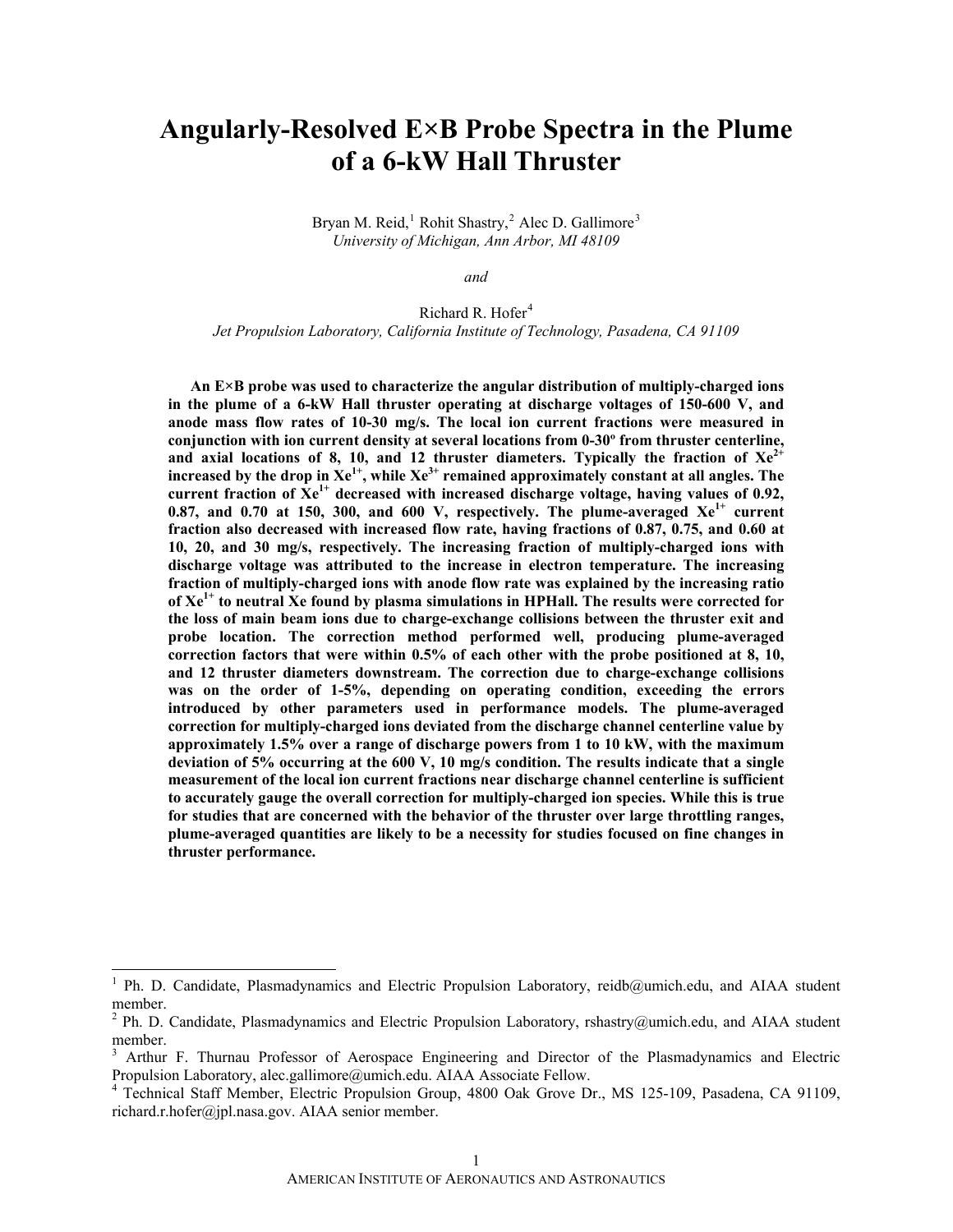# **Angularly-Resolved E×B Probe Spectra in the Plume of a 6-kW Hall Thruster**

Bryan M. Reid,<sup>[1](#page-0-0)</sup> Rohit Shastry,<sup>[2](#page-0-1)</sup> Alec D. Gallimore<sup>[3](#page-0-2)</sup> *University of Michigan, Ann Arbor, MI 48109* 

*and* 

Richard R. Hofer $<sup>4</sup>$  $<sup>4</sup>$  $<sup>4</sup>$ </sup> *Jet Propulsion Laboratory, California Institute of Technology, Pasadena, CA 91109* 

**An E×B probe was used to characterize the angular distribution of multiply-charged ions in the plume of a 6-kW Hall thruster operating at discharge voltages of 150-600 V, and anode mass flow rates of 10-30 mg/s. The local ion current fractions were measured in conjunction with ion current density at several locations from 0-30º from thruster centerline,**  and axial locations of 8, 10, and 12 thruster diameters. Typically the fraction of  $Xe^{2+}$ increased by the drop in  $Xe^{1+}$ , while  $Xe^{3+}$  remained approximately constant at all angles. The current fraction of Xe<sup>1+</sup> decreased with increased discharge voltage, having values of 0.92, **0.87, and 0.70 at 150, 300, and 600 V, respectively. The plume-averaged Xe1+ current fraction also decreased with increased flow rate, having fractions of 0.87, 0.75, and 0.60 at 10, 20, and 30 mg/s, respectively. The increasing fraction of multiply-charged ions with discharge voltage was attributed to the increase in electron temperature. The increasing fraction of multiply-charged ions with anode flow rate was explained by the increasing ratio of Xe1+ to neutral Xe found by plasma simulations in HPHall. The results were corrected for the loss of main beam ions due to charge-exchange collisions between the thruster exit and probe location. The correction method performed well, producing plume-averaged correction factors that were within 0.5% of each other with the probe positioned at 8, 10, and 12 thruster diameters downstream. The correction due to charge-exchange collisions was on the order of 1-5%, depending on operating condition, exceeding the errors introduced by other parameters used in performance models. The plume-averaged correction for multiply-charged ions deviated from the discharge channel centerline value by approximately 1.5% over a range of discharge powers from 1 to 10 kW, with the maximum deviation of 5% occurring at the 600 V, 10 mg/s condition. The results indicate that a single measurement of the local ion current fractions near discharge channel centerline is sufficient to accurately gauge the overall correction for multiply-charged ion species. While this is true for studies that are concerned with the behavior of the thruster over large throttling ranges, plume-averaged quantities are likely to be a necessity for studies focused on fine changes in thruster performance.** 

1

<span id="page-0-0"></span><sup>&</sup>lt;sup>1</sup> Ph. D. Candidate, Plasmadynamics and Electric Propulsion Laboratory, reidb@umich.edu, and AIAA student member.

<span id="page-0-1"></span><sup>&</sup>lt;sup>2</sup> Ph. D. Candidate, Plasmadynamics and Electric Propulsion Laboratory, rshastry@umich.edu, and AIAA student member.

<span id="page-0-2"></span><sup>&</sup>lt;sup>3</sup> Arthur F. Thurnau Professor of Aerospace Engineering and Director of the Plasmadynamics and Electric Propulsion Laboratory, alec.gallimore@umich.edu. AIAA Associate Fellow.

<span id="page-0-3"></span>Technical Staff Member, Electric Propulsion Group, 4800 Oak Grove Dr., MS 125-109, Pasadena, CA 91109, richard.r.hofer@jpl.nasa.gov. AIAA senior member.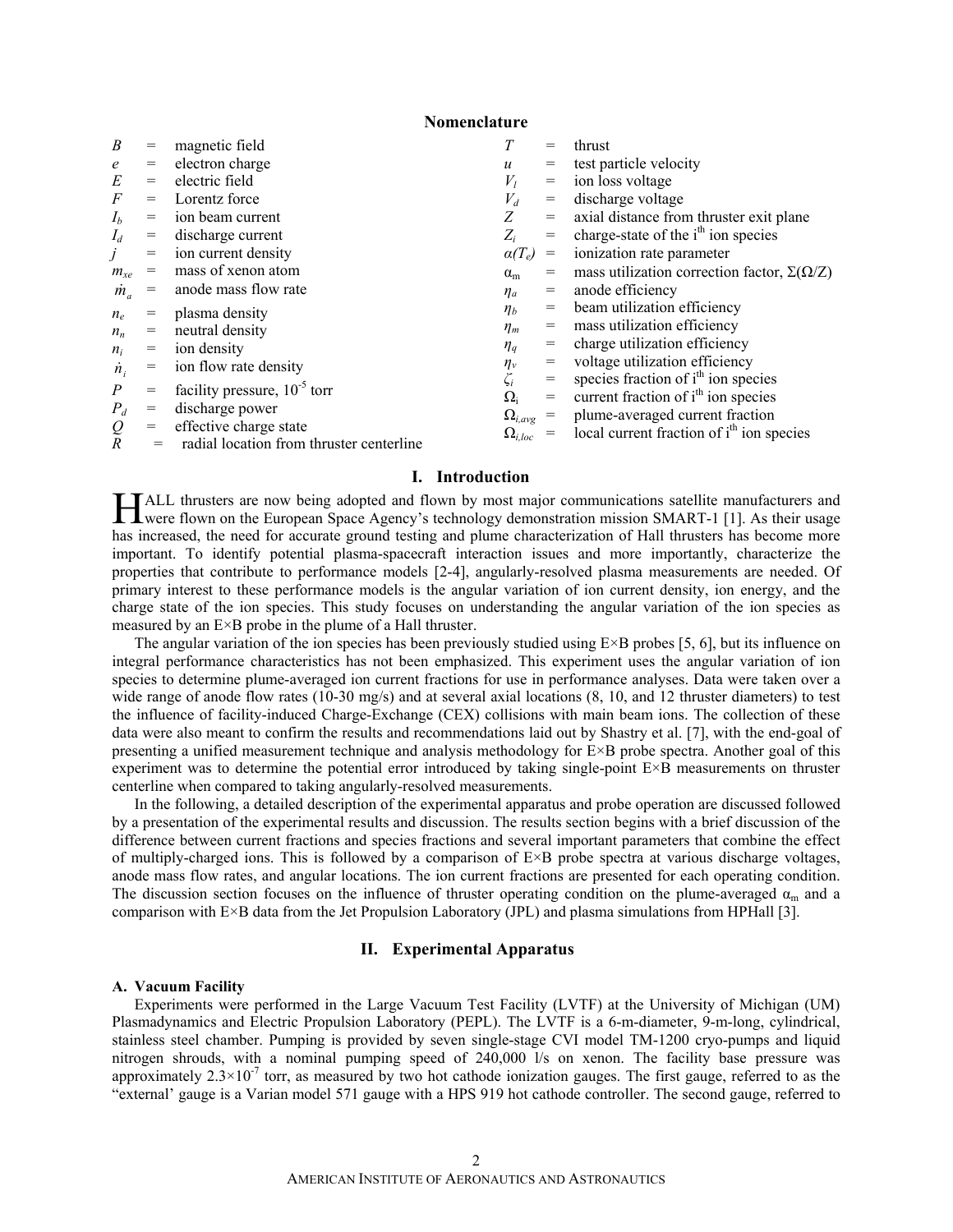#### **Nomenclature**

| B                | =   | magnetic field                           |                  |     | thrust                                                 |
|------------------|-----|------------------------------------------|------------------|-----|--------------------------------------------------------|
| e                | $=$ | electron charge                          | $\boldsymbol{u}$ | $=$ | test particle velocity                                 |
| E                | $=$ | electric field                           | $V_l$            | $=$ | ion loss voltage                                       |
| F                | $=$ | Lorentz force                            | $V_d$            | $=$ | discharge voltage                                      |
| $I_b$            | $=$ | ion beam current                         | Ζ                | $=$ | axial distance from thruster exit plane                |
| $I_d$            | $=$ | discharge current                        | $Z_i$            | $=$ | charge-state of the i <sup>th</sup> ion species        |
| j                | $=$ | ion current density                      | $\alpha(T_e)$    | $=$ | ionization rate parameter                              |
| $m_{xe}$         |     | mass of xenon atom                       | $\alpha_{m}$     | $=$ | mass utilization correction factor, $\Sigma(\Omega/Z)$ |
| $\dot{m}_a$      | $=$ | anode mass flow rate                     | $\eta_a$         | $=$ | anode efficiency                                       |
| $n_e$            | $=$ | plasma density                           | $\eta_b$         | $=$ | beam utilization efficiency                            |
| $n_n$            | $=$ | neutral density                          | $\eta_m$         | $=$ | mass utilization efficiency                            |
| $n_i$            | $=$ | ion density                              | $\eta_q$         | $=$ | charge utilization efficiency                          |
| $\dot{n}_i$      | $=$ | ion flow rate density                    | $\eta_v$         | $=$ | voltage utilization efficiency                         |
|                  |     |                                          | $\zeta_i$        | $=$ | species fraction of i <sup>th</sup> ion species        |
| $\overline{P}$   | $=$ | facility pressure, $10^{-5}$ torr        | $\Omega_i$       | $=$ | current fraction of i <sup>th</sup> ion species        |
| $P_d$            | $=$ | discharge power                          | $\Omega_{i,avg}$ | $=$ | plume-averaged current fraction                        |
| $\varrho$        | $=$ | effective charge state                   | $\Omega_{i,loc}$ | $=$ | local current fraction of i <sup>th</sup> ion species  |
| $\boldsymbol{R}$ |     | radial location from thruster centerline |                  |     |                                                        |

# **I. Introduction**

ALL thrusters are now being adopted and flown by most major communications satellite manufacturers and HALL thrusters are now being adopted and flown by most major communications satellite manufacturers and were flown on the European Space Agency's technology demonstration mission SMART-1 [1]. As their usage has increased, the need for accurate ground testing and plume characterization of Hall thrusters has become more important. To identify potential plasma-spacecraft interaction issues and more importantly, characterize the properties that contribute to performance models [2-4], angularly-resolved plasma measurements are needed. Of primary interest to these performance models is the angular variation of ion current density, ion energy, and the charge state of the ion species. This study focuses on understanding the angular variation of the ion species as measured by an E×B probe in the plume of a Hall thruster.

The angular variation of the ion species has been previously studied using  $E \times B$  probes [5, 6], but its influence on integral performance characteristics has not been emphasized. This experiment uses the angular variation of ion species to determine plume-averaged ion current fractions for use in performance analyses. Data were taken over a wide range of anode flow rates (10-30 mg/s) and at several axial locations (8, 10, and 12 thruster diameters) to test the influence of facility-induced Charge-Exchange (CEX) collisions with main beam ions. The collection of these data were also meant to confirm the results and recommendations laid out by Shastry et al. [7], with the end-goal of presenting a unified measurement technique and analysis methodology for E×B probe spectra. Another goal of this experiment was to determine the potential error introduced by taking single-point E×B measurements on thruster centerline when compared to taking angularly-resolved measurements.

In the following, a detailed description of the experimental apparatus and probe operation are discussed followed by a presentation of the experimental results and discussion. The results section begins with a brief discussion of the difference between current fractions and species fractions and several important parameters that combine the effect of multiply-charged ions. This is followed by a comparison of  $E \times B$  probe spectra at various discharge voltages, anode mass flow rates, and angular locations. The ion current fractions are presented for each operating condition. The discussion section focuses on the influence of thruster operating condition on the plume-averaged  $\alpha_m$  and a comparison with E×B data from the Jet Propulsion Laboratory (JPL) and plasma simulations from HPHall [3].

# **II. Experimental Apparatus**

## **A. Vacuum Facility**

Experiments were performed in the Large Vacuum Test Facility (LVTF) at the University of Michigan (UM) Plasmadynamics and Electric Propulsion Laboratory (PEPL). The LVTF is a 6-m-diameter, 9-m-long, cylindrical, stainless steel chamber. Pumping is provided by seven single-stage CVI model TM-1200 cryo-pumps and liquid nitrogen shrouds, with a nominal pumping speed of 240,000 l/s on xenon. The facility base pressure was approximately  $2.3\times10^{-7}$  torr, as measured by two hot cathode ionization gauges. The first gauge, referred to as the "external' gauge is a Varian model 571 gauge with a HPS 919 hot cathode controller. The second gauge, referred to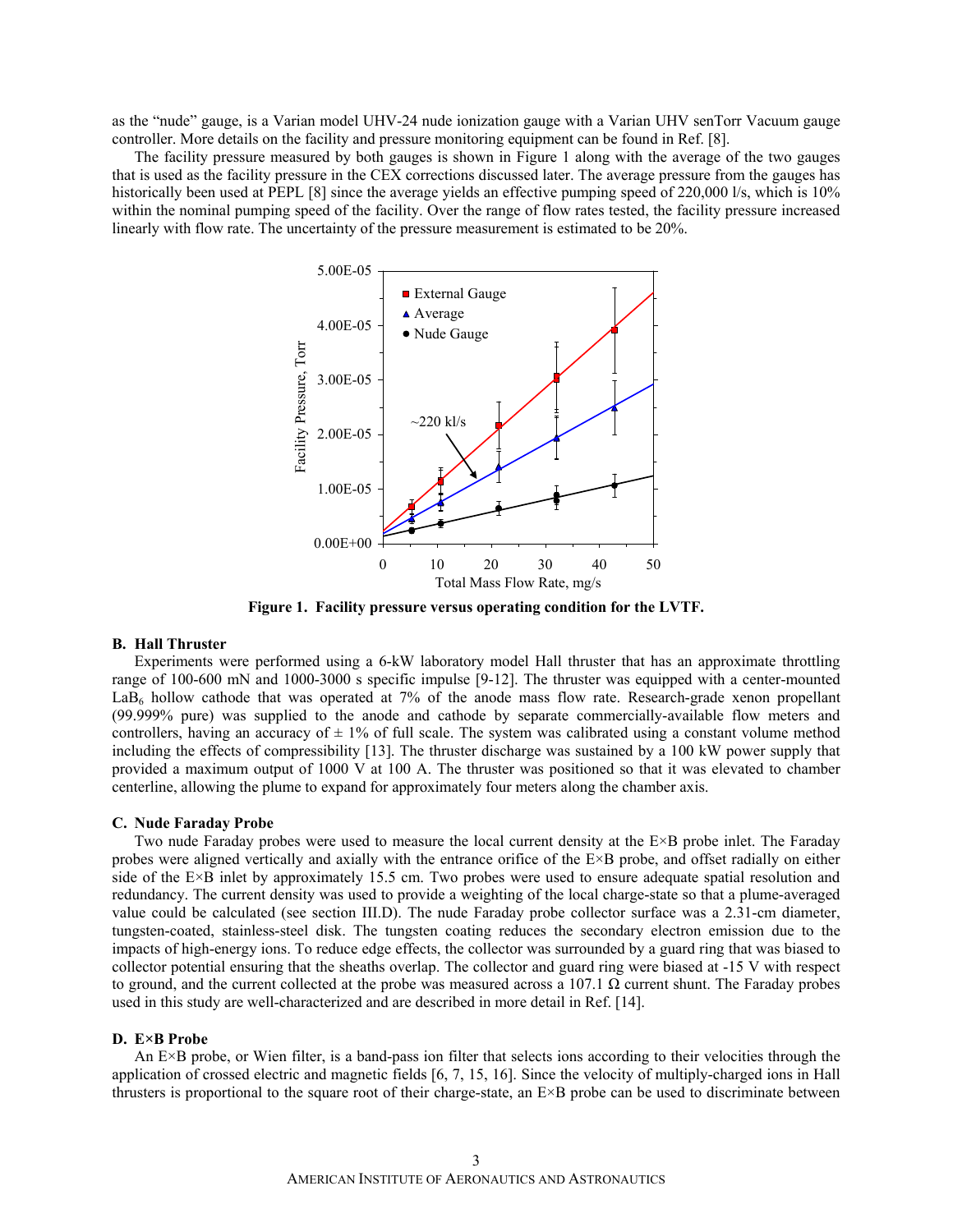as the "nude" gauge, is a Varian model UHV-24 nude ionization gauge with a Varian UHV senTorr Vacuum gauge controller. More details on the facility and pressure monitoring equipment can be found in Ref. [8].

The facility pressure measured by both gauges is shown in [Figure 1](#page-2-0) along with the average of the two gauges that is used as the facility pressure in the CEX corrections discussed later. The average pressure from the gauges has historically been used at PEPL [8] since the average yields an effective pumping speed of 220,000 l/s, which is 10% within the nominal pumping speed of the facility. Over the range of flow rates tested, the facility pressure increased linearly with flow rate. The uncertainty of the pressure measurement is estimated to be 20%.



**Figure 1. Facility pressure versus operating condition for the LVTF.** 

# <span id="page-2-0"></span>**B. Hall Thruster**

Experiments were performed using a 6-kW laboratory model Hall thruster that has an approximate throttling range of 100-600 mN and 1000-3000 s specific impulse [9-12]. The thruster was equipped with a center-mounted LaB<sub>6</sub> hollow cathode that was operated at 7% of the anode mass flow rate. Research-grade xenon propellant (99.999% pure) was supplied to the anode and cathode by separate commercially-available flow meters and controllers, having an accuracy of  $\pm$  1% of full scale. The system was calibrated using a constant volume method including the effects of compressibility [13]. The thruster discharge was sustained by a 100 kW power supply that provided a maximum output of 1000 V at 100 A. The thruster was positioned so that it was elevated to chamber centerline, allowing the plume to expand for approximately four meters along the chamber axis.

#### **C. Nude Faraday Probe**

Two nude Faraday probes were used to measure the local current density at the  $E \times B$  probe inlet. The Faraday probes were aligned vertically and axially with the entrance orifice of the  $E \times B$  probe, and offset radially on either side of the E×B inlet by approximately 15.5 cm. Two probes were used to ensure adequate spatial resolution and redundancy. The current density was used to provide a weighting of the local charge-state so that a plume-averaged value could be calculated (see section [III.](#page-7-0)[D](#page-10-0)). The nude Faraday probe collector surface was a 2.31-cm diameter, tungsten-coated, stainless-steel disk. The tungsten coating reduces the secondary electron emission due to the impacts of high-energy ions. To reduce edge effects, the collector was surrounded by a guard ring that was biased to collector potential ensuring that the sheaths overlap. The collector and guard ring were biased at -15 V with respect to ground, and the current collected at the probe was measured across a 107.1  $\Omega$  current shunt. The Faraday probes used in this study are well-characterized and are described in more detail in Ref. [14].

#### **D. E×B Probe**

An E×B probe, or Wien filter, is a band-pass ion filter that selects ions according to their velocities through the application of crossed electric and magnetic fields [6, 7, 15, 16]. Since the velocity of multiply-charged ions in Hall thrusters is proportional to the square root of their charge-state, an  $E \times B$  probe can be used to discriminate between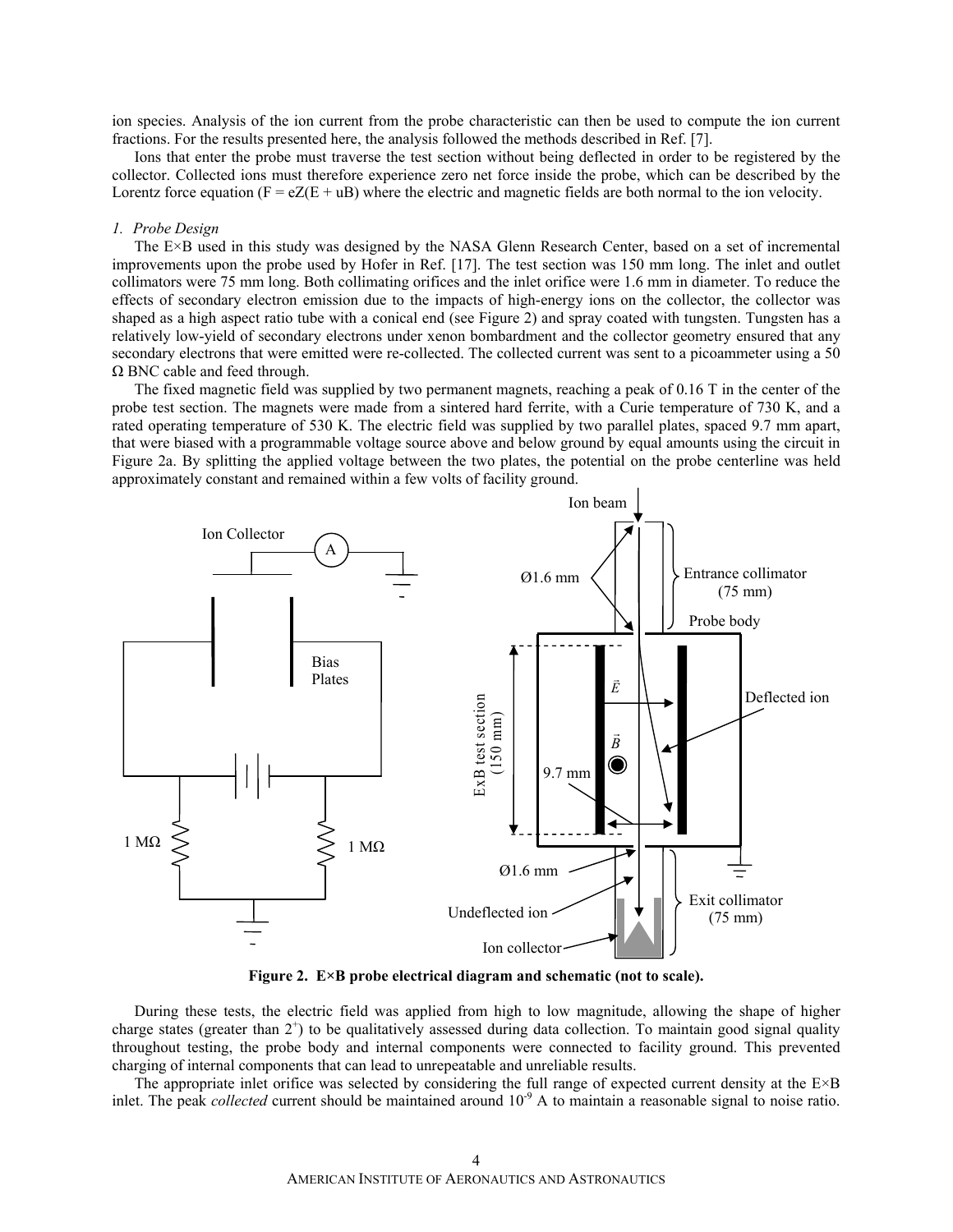ion species. Analysis of the ion current from the probe characteristic can then be used to compute the ion current fractions. For the results presented here, the analysis followed the methods described in Ref. [7].

Ions that enter the probe must traverse the test section without being deflected in order to be registered by the collector. Collected ions must therefore experience zero net force inside the probe, which can be described by the Lorentz force equation ( $F = eZ(E + uB)$ ) where the electric and magnetic fields are both normal to the ion velocity.

## *1. Probe Design*

The E×B used in this study was designed by the NASA Glenn Research Center, based on a set of incremental improvements upon the probe used by Hofer in Ref. [17]. The test section was 150 mm long. The inlet and outlet collimators were 75 mm long. Both collimating orifices and the inlet orifice were 1.6 mm in diameter. To reduce the effects of secondary electron emission due to the impacts of high-energy ions on the collector, the collector was shaped as a high aspect ratio tube with a conical end (see [Figure 2\)](#page-3-0) and spray coated with tungsten. Tungsten has a relatively low-yield of secondary electrons under xenon bombardment and the collector geometry ensured that any secondary electrons that were emitted were re-collected. The collected current was sent to a picoammeter using a 50 Ω BNC cable and feed through.

The fixed magnetic field was supplied by two permanent magnets, reaching a peak of 0.16 T in the center of the probe test section. The magnets were made from a sintered hard ferrite, with a Curie temperature of 730 K, and a rated operating temperature of 530 K. The electric field was supplied by two parallel plates, spaced 9.7 mm apart, that were biased with a programmable voltage source above and below ground by equal amounts using the circuit in [Figure 2a](#page-3-0). By splitting the applied voltage between the two plates, the potential on the probe centerline was held approximately constant and remained within a few volts of facility ground.



**Figure 2. E×B probe electrical diagram and schematic (not to scale).** 

<span id="page-3-0"></span>During these tests, the electric field was applied from high to low magnitude, allowing the shape of higher charge states (greater than  $2^+$ ) to be qualitatively assessed during data collection. To maintain good signal quality throughout testing, the probe body and internal components were connected to facility ground. This prevented charging of internal components that can lead to unrepeatable and unreliable results.

The appropriate inlet orifice was selected by considering the full range of expected current density at the  $E \times B$ inlet. The peak *collected* current should be maintained around 10<sup>-9</sup> A to maintain a reasonable signal to noise ratio.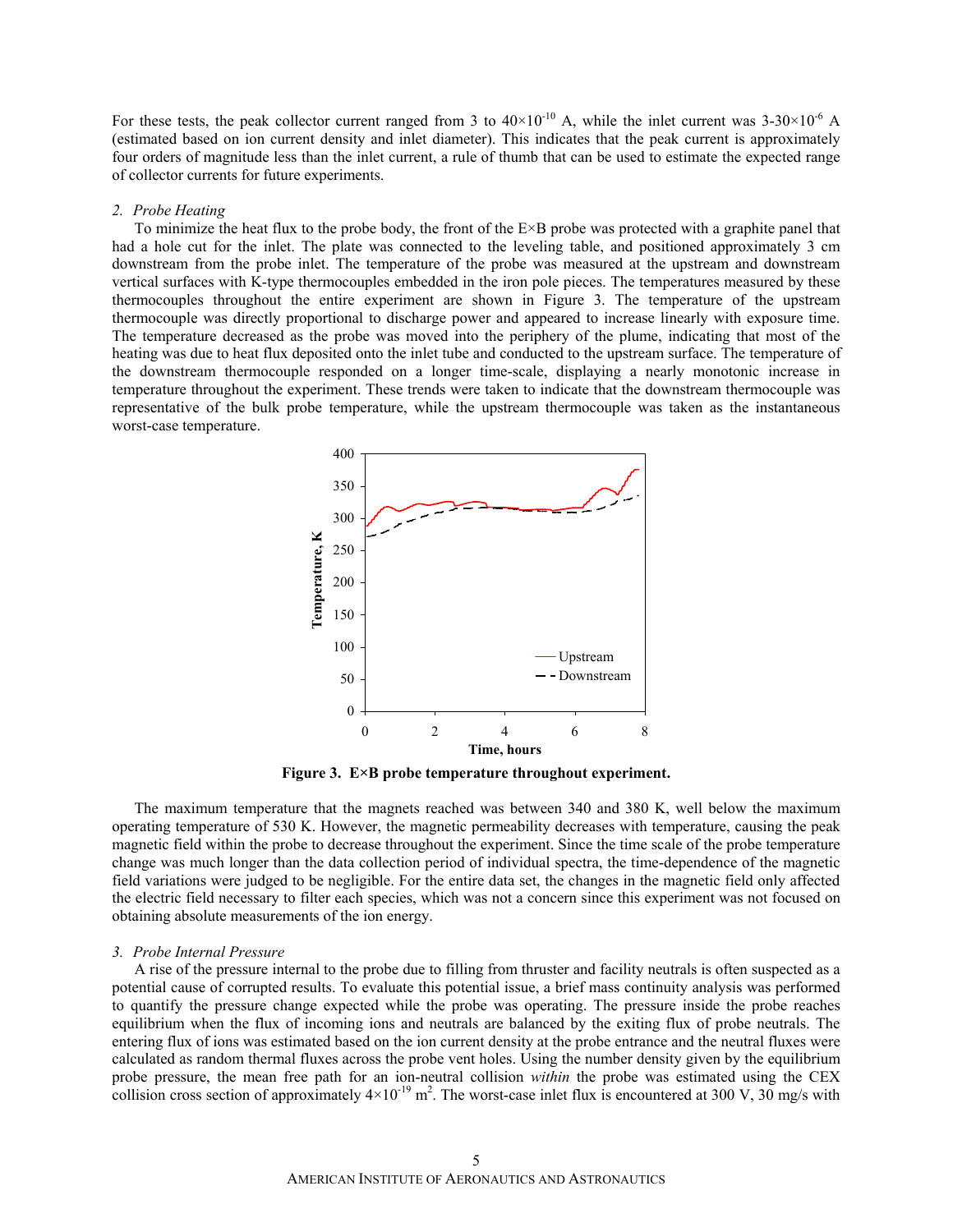For these tests, the peak collector current ranged from 3 to  $40\times10^{-10}$  A, while the inlet current was  $3-30\times10^{-6}$  A (estimated based on ion current density and inlet diameter). This indicates that the peak current is approximately four orders of magnitude less than the inlet current, a rule of thumb that can be used to estimate the expected range of collector currents for future experiments.

## *2. Probe Heating*

To minimize the heat flux to the probe body, the front of the  $E \times B$  probe was protected with a graphite panel that had a hole cut for the inlet. The plate was connected to the leveling table, and positioned approximately 3 cm downstream from the probe inlet. The temperature of the probe was measured at the upstream and downstream vertical surfaces with K-type thermocouples embedded in the iron pole pieces. The temperatures measured by these thermocouples throughout the entire experiment are shown in [Figure 3.](#page-4-0) The temperature of the upstream thermocouple was directly proportional to discharge power and appeared to increase linearly with exposure time. The temperature decreased as the probe was moved into the periphery of the plume, indicating that most of the heating was due to heat flux deposited onto the inlet tube and conducted to the upstream surface. The temperature of the downstream thermocouple responded on a longer time-scale, displaying a nearly monotonic increase in temperature throughout the experiment. These trends were taken to indicate that the downstream thermocouple was representative of the bulk probe temperature, while the upstream thermocouple was taken as the instantaneous worst-case temperature.



**Figure 3. E×B probe temperature throughout experiment.** 

<span id="page-4-0"></span>The maximum temperature that the magnets reached was between 340 and 380 K, well below the maximum operating temperature of 530 K. However, the magnetic permeability decreases with temperature, causing the peak magnetic field within the probe to decrease throughout the experiment. Since the time scale of the probe temperature change was much longer than the data collection period of individual spectra, the time-dependence of the magnetic field variations were judged to be negligible. For the entire data set, the changes in the magnetic field only affected the electric field necessary to filter each species, which was not a concern since this experiment was not focused on obtaining absolute measurements of the ion energy.

## *3. Probe Internal Pressure*

A rise of the pressure internal to the probe due to filling from thruster and facility neutrals is often suspected as a potential cause of corrupted results. To evaluate this potential issue, a brief mass continuity analysis was performed to quantify the pressure change expected while the probe was operating. The pressure inside the probe reaches equilibrium when the flux of incoming ions and neutrals are balanced by the exiting flux of probe neutrals. The entering flux of ions was estimated based on the ion current density at the probe entrance and the neutral fluxes were calculated as random thermal fluxes across the probe vent holes. Using the number density given by the equilibrium probe pressure, the mean free path for an ion-neutral collision *within* the probe was estimated using the CEX collision cross section of approximately  $4\times10^{-19}$  m<sup>2</sup>. The worst-case inlet flux is encountered at 300 V, 30 mg/s with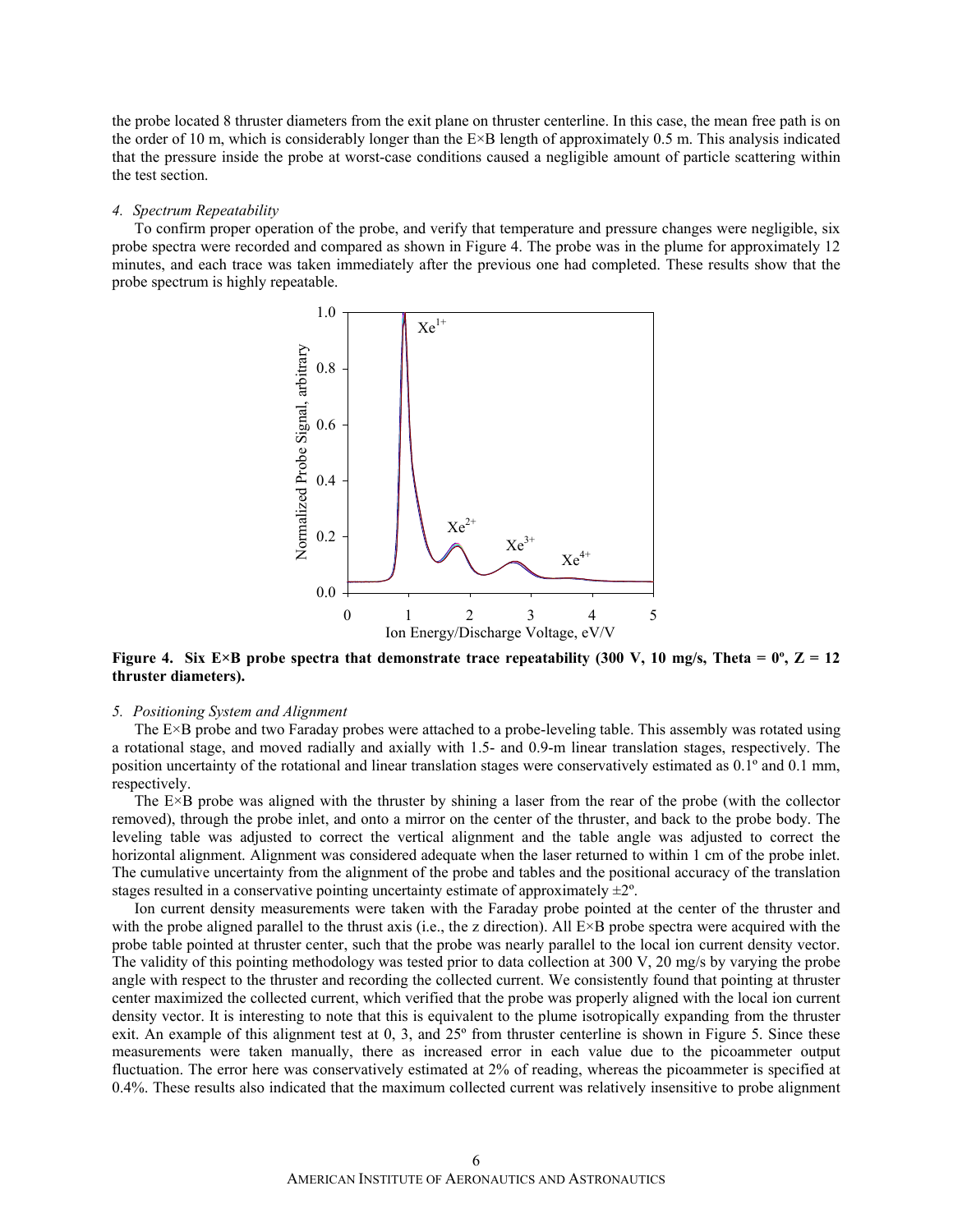the probe located 8 thruster diameters from the exit plane on thruster centerline. In this case, the mean free path is on the order of 10 m, which is considerably longer than the  $E \times B$  length of approximately 0.5 m. This analysis indicated that the pressure inside the probe at worst-case conditions caused a negligible amount of particle scattering within the test section.

#### *4. Spectrum Repeatability*

To confirm proper operation of the probe, and verify that temperature and pressure changes were negligible, six probe spectra were recorded and compared as shown in [Figure 4](#page-5-0). The probe was in the plume for approximately 12 minutes, and each trace was taken immediately after the previous one had completed. These results show that the probe spectrum is highly repeatable.



<span id="page-5-0"></span>Figure 4. Six E×B probe spectra that demonstrate trace repeatability (300 V, 10 mg/s, Theta =  $0^{\circ}$ , Z = 12 **thruster diameters).** 

#### *5. Positioning System and Alignment*

The E×B probe and two Faraday probes were attached to a probe-leveling table. This assembly was rotated using a rotational stage, and moved radially and axially with 1.5- and 0.9-m linear translation stages, respectively. The position uncertainty of the rotational and linear translation stages were conservatively estimated as 0.1º and 0.1 mm, respectively.

The  $E \times B$  probe was aligned with the thruster by shining a laser from the rear of the probe (with the collector removed), through the probe inlet, and onto a mirror on the center of the thruster, and back to the probe body. The leveling table was adjusted to correct the vertical alignment and the table angle was adjusted to correct the horizontal alignment. Alignment was considered adequate when the laser returned to within 1 cm of the probe inlet. The cumulative uncertainty from the alignment of the probe and tables and the positional accuracy of the translation stages resulted in a conservative pointing uncertainty estimate of approximately  $\pm 2^{\circ}$ .

Ion current density measurements were taken with the Faraday probe pointed at the center of the thruster and with the probe aligned parallel to the thrust axis (i.e., the z direction). All E×B probe spectra were acquired with the probe table pointed at thruster center, such that the probe was nearly parallel to the local ion current density vector. The validity of this pointing methodology was tested prior to data collection at 300 V, 20 mg/s by varying the probe angle with respect to the thruster and recording the collected current. We consistently found that pointing at thruster center maximized the collected current, which verified that the probe was properly aligned with the local ion current density vector. It is interesting to note that this is equivalent to the plume isotropically expanding from the thruster exit. An example of this alignment test at 0, 3, and  $25^{\circ}$  from thruster centerline is shown in [Figure 5.](#page-6-0) Since these measurements were taken manually, there as increased error in each value due to the picoammeter output fluctuation. The error here was conservatively estimated at 2% of reading, whereas the picoammeter is specified at 0.4%. These results also indicated that the maximum collected current was relatively insensitive to probe alignment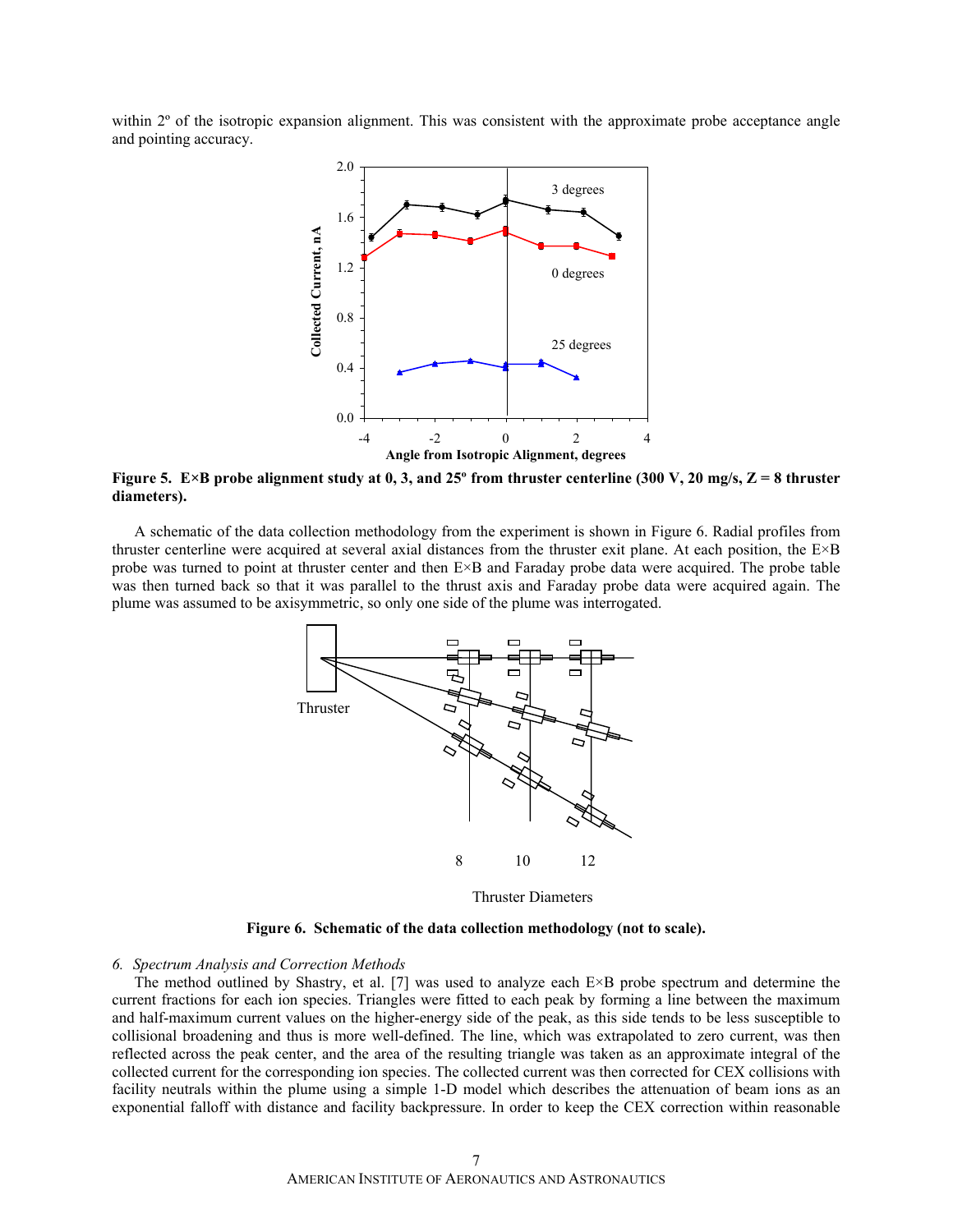within 2<sup>°</sup> of the isotropic expansion alignment. This was consistent with the approximate probe acceptance angle and pointing accuracy.



<span id="page-6-0"></span>**Figure 5. E×B probe alignment study at 0, 3, and 25º from thruster centerline (300 V, 20 mg/s, Z = 8 thruster diameters).** 

A schematic of the data collection methodology from the experiment is shown in [Figure 6.](#page-6-1) Radial profiles from thruster centerline were acquired at several axial distances from the thruster exit plane. At each position, the  $E \times B$ probe was turned to point at thruster center and then E×B and Faraday probe data were acquired. The probe table was then turned back so that it was parallel to the thrust axis and Faraday probe data were acquired again. The plume was assumed to be axisymmetric, so only one side of the plume was interrogated.



Thruster Diameters

**Figure 6. Schematic of the data collection methodology (not to scale).** 

#### <span id="page-6-1"></span>*6. Spectrum Analysis and Correction Methods*

The method outlined by Shastry, et al. [7] was used to analyze each  $E \times B$  probe spectrum and determine the current fractions for each ion species. Triangles were fitted to each peak by forming a line between the maximum and half-maximum current values on the higher-energy side of the peak, as this side tends to be less susceptible to collisional broadening and thus is more well-defined. The line, which was extrapolated to zero current, was then reflected across the peak center, and the area of the resulting triangle was taken as an approximate integral of the collected current for the corresponding ion species. The collected current was then corrected for CEX collisions with facility neutrals within the plume using a simple 1-D model which describes the attenuation of beam ions as an exponential falloff with distance and facility backpressure. In order to keep the CEX correction within reasonable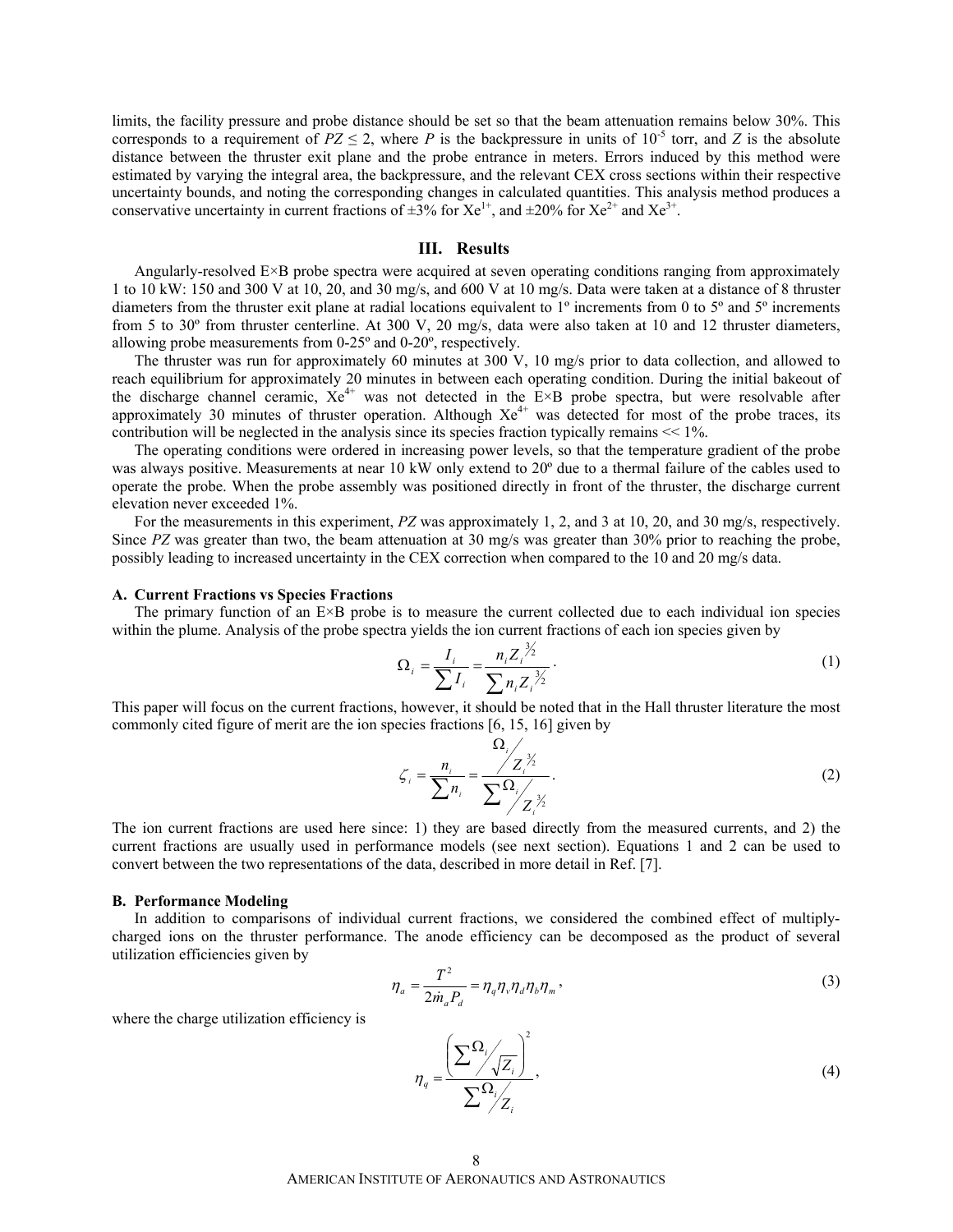limits, the facility pressure and probe distance should be set so that the beam attenuation remains below 30%. This corresponds to a requirement of  $PZ \le 2$ , where P is the backpressure in units of  $10^{-5}$  torr, and Z is the absolute distance between the thruster exit plane and the probe entrance in meters. Errors induced by this method were estimated by varying the integral area, the backpressure, and the relevant CEX cross sections within their respective uncertainty bounds, and noting the corresponding changes in calculated quantities. This analysis method produces a conservative uncertainty in current fractions of  $\pm 3\%$  for Xe<sup>1+</sup>, and  $\pm 20\%$  for Xe<sup>2+</sup> and Xe<sup>3+</sup>.

#### **III. Results**

<span id="page-7-0"></span>Angularly-resolved E×B probe spectra were acquired at seven operating conditions ranging from approximately 1 to 10 kW: 150 and 300 V at 10, 20, and 30 mg/s, and 600 V at 10 mg/s. Data were taken at a distance of 8 thruster diameters from the thruster exit plane at radial locations equivalent to 1º increments from 0 to 5º and 5º increments from 5 to 30º from thruster centerline. At 300 V, 20 mg/s, data were also taken at 10 and 12 thruster diameters, allowing probe measurements from 0-25º and 0-20º, respectively.

The thruster was run for approximately 60 minutes at 300 V, 10 mg/s prior to data collection, and allowed to reach equilibrium for approximately 20 minutes in between each operating condition. During the initial bakeout of the discharge channel ceramic,  $Xe^{4+}$  was not detected in the E×B probe spectra, but were resolvable after approximately 30 minutes of thruster operation. Although  $Xe^{4+}$  was detected for most of the probe traces, its contribution will be neglected in the analysis since its species fraction typically remains << 1%.

The operating conditions were ordered in increasing power levels, so that the temperature gradient of the probe was always positive. Measurements at near 10 kW only extend to 20º due to a thermal failure of the cables used to operate the probe. When the probe assembly was positioned directly in front of the thruster, the discharge current elevation never exceeded 1%.

For the measurements in this experiment, *PZ* was approximately 1, 2, and 3 at 10, 20, and 30 mg/s, respectively. Since *PZ* was greater than two, the beam attenuation at 30 mg/s was greater than 30% prior to reaching the probe, possibly leading to increased uncertainty in the CEX correction when compared to the 10 and 20 mg/s data.

#### **A. Current Fractions vs Species Fractions**

The primary function of an E×B probe is to measure the current collected due to each individual ion species within the plume. Analysis of the probe spectra yields the ion current fractions of each ion species given by

$$
\Omega_i = \frac{I_i}{\sum I_i} = \frac{n_i Z_i^{\frac{3}{2}}}{\sum n_i Z_i^{\frac{3}{2}}}.
$$
\n(1)

This paper will focus on the current fractions, however, it should be noted that in the Hall thruster literature the most commonly cited figure of merit are the ion species fractions [6, 15, 16] given by

$$
\zeta_i = \frac{n_i}{\sum n_i} = \frac{\frac{\Omega_i}{Z_i} \frac{\gamma_i}{2}}{\sum \frac{\Omega_i}{Z_i} \frac{\gamma_i}{2}}.
$$
\n(2)

The ion current fractions are used here since: 1) they are based directly from the measured currents, and 2) the current fractions are usually used in performance models (see next section). Equations 1 and 2 can be used to convert between the two representations of the data, described in more detail in Ref. [7].

#### **B. Performance Modeling**

In addition to comparisons of individual current fractions, we considered the combined effect of multiplycharged ions on the thruster performance. The anode efficiency can be decomposed as the product of several utilization efficiencies given by

$$
\eta_a = \frac{T^2}{2\dot{m}_a P_d} = \eta_q \eta_v \eta_d \eta_b \eta_m, \qquad (3)
$$

where the charge utilization efficiency is

$$
\eta_q = \frac{\left(\sum_{i} \frac{\Omega_i}{\sqrt{Z_i}}\right)^2}{\sum_{i} \frac{\Omega_i}{Z_i}},
$$
\n(4)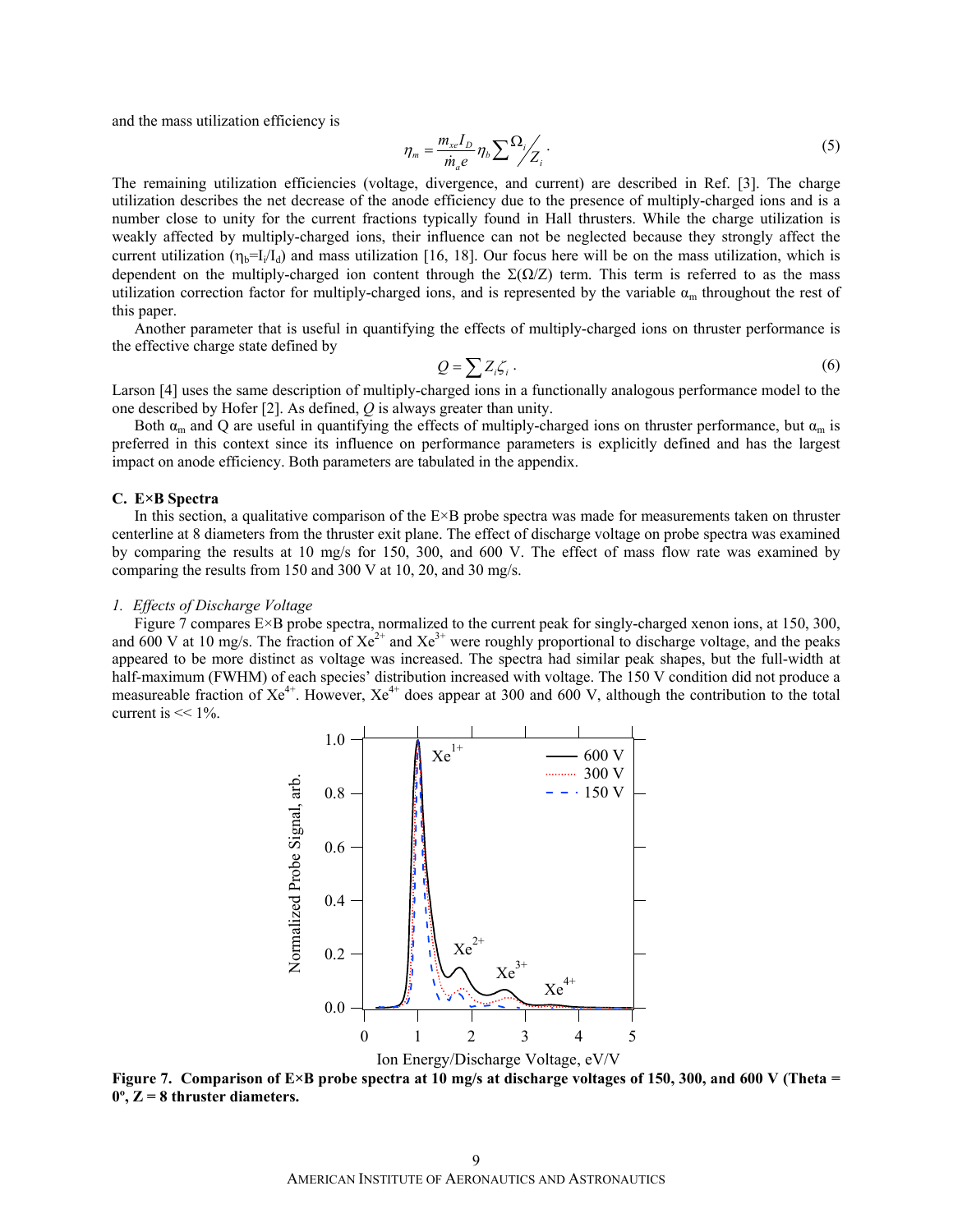and the mass utilization efficiency is

$$
\eta_m = \frac{m_{xe} I_D}{\dot{m}_a e} \eta_b \sum_j \frac{\Omega_j}{Z_i} \tag{5}
$$

The remaining utilization efficiencies (voltage, divergence, and current) are described in Ref. [3]. The charge utilization describes the net decrease of the anode efficiency due to the presence of multiply-charged ions and is a number close to unity for the current fractions typically found in Hall thrusters. While the charge utilization is weakly affected by multiply-charged ions, their influence can not be neglected because they strongly affect the current utilization ( $\eta_b=I_i/I_d$ ) and mass utilization [16, 18]. Our focus here will be on the mass utilization, which is dependent on the multiply-charged ion content through the  $\Sigma(\Omega/Z)$  term. This term is referred to as the mass utilization correction factor for multiply-charged ions, and is represented by the variable  $\alpha_m$  throughout the rest of this paper.

Another parameter that is useful in quantifying the effects of multiply-charged ions on thruster performance is the effective charge state defined by

$$
Q = \sum Z_i \zeta_i \,. \tag{6}
$$

Larson [4] uses the same description of multiply-charged ions in a functionally analogous performance model to the one described by Hofer [2]. As defined, *Q* is always greater than unity.

Both  $\alpha_m$  and Q are useful in quantifying the effects of multiply-charged ions on thruster performance, but  $\alpha_m$  is preferred in this context since its influence on performance parameters is explicitly defined and has the largest impact on anode efficiency. Both parameters are tabulated in the appendix.

#### **C. E×B Spectra**

In this section, a qualitative comparison of the E×B probe spectra was made for measurements taken on thruster centerline at 8 diameters from the thruster exit plane. The effect of discharge voltage on probe spectra was examined by comparing the results at 10 mg/s for 150, 300, and 600 V. The effect of mass flow rate was examined by comparing the results from 150 and 300 V at 10, 20, and 30 mg/s.

## *1. Effects of Discharge Voltage*

[Figure 7](#page-8-0) compares E×B probe spectra, normalized to the current peak for singly-charged xenon ions, at 150, 300, and 600 V at 10 mg/s. The fraction of  $Xe^{2+}$  and  $Xe^{3+}$  were roughly proportional to discharge voltage, and the peaks appeared to be more distinct as voltage was increased. The spectra had similar peak shapes, but the full-width at half-maximum (FWHM) of each species' distribution increased with voltage. The 150 V condition did not produce a measureable fraction of  $Xe^{4+}$ . However,  $Xe^{4+}$  does appear at 300 and 600 V, although the contribution to the total current is  $<< 1\%$ .



Ion Energy/Discharge Voltage, eV/V

<span id="page-8-0"></span>**Figure 7. Comparison of E×B probe spectra at 10 mg/s at discharge voltages of 150, 300, and 600 V (Theta = 0º, Z = 8 thruster diameters.**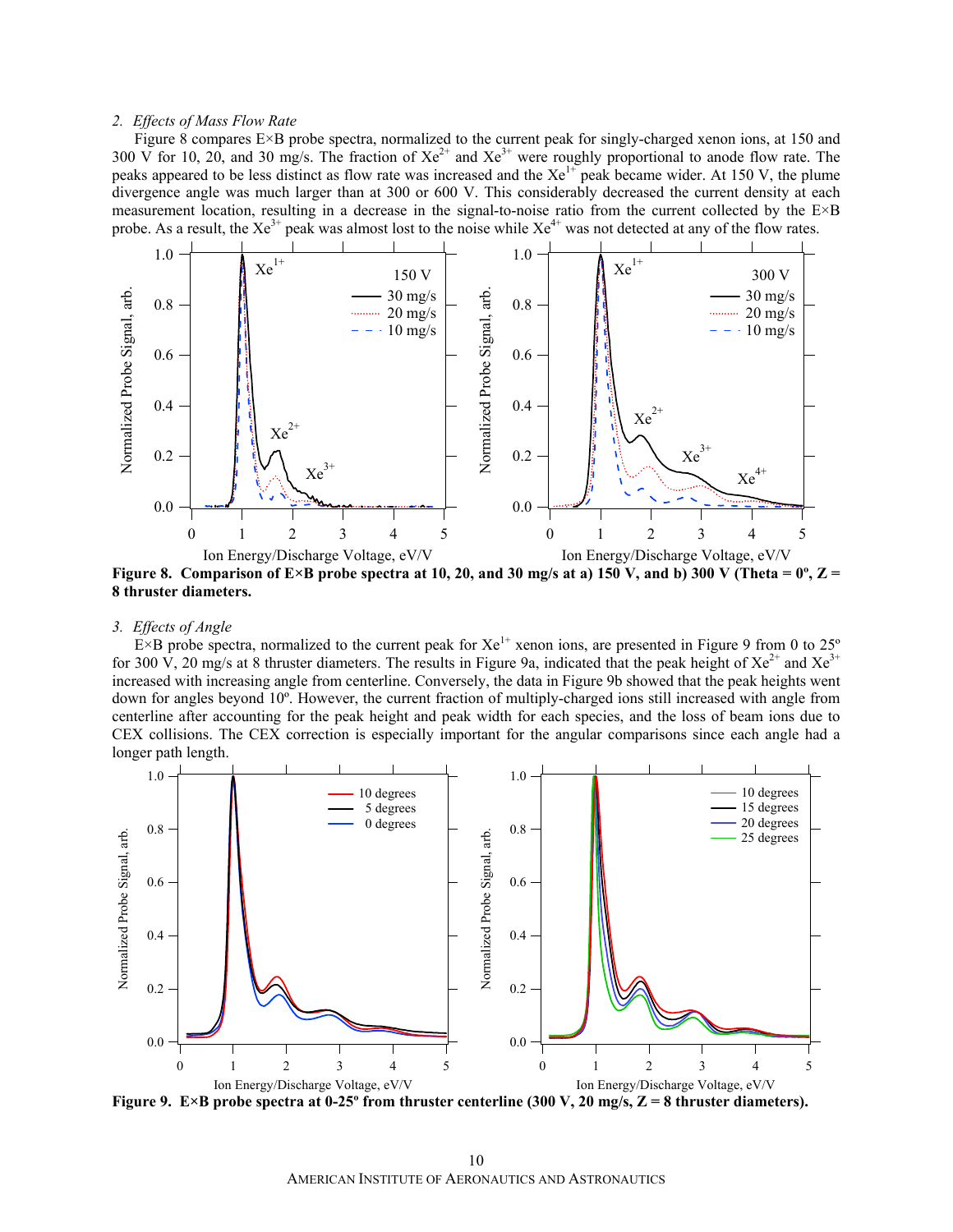## *2. Effects of Mass Flow Rate*

[Figure 8](#page-9-0) compares E×B probe spectra, normalized to the current peak for singly-charged xenon ions, at 150 and 300 V for 10, 20, and 30 mg/s. The fraction of  $Xe^{2+}$  and  $Xe^{3+}$  were roughly proportional to anode flow rate. The peaks appeared to be less distinct as flow rate was increased and the  $Xe^{1}$  peak became wider. At 150 V, the plume divergence angle was much larger than at 300 or 600 V. This considerably decreased the current density at each measurement location, resulting in a decrease in the signal-to-noise ratio from the current collected by the E×B probe. As a result, the  $Xe^{3+}$  peak was almost lost to the noise while  $Xe^{4+}$  was not detected at any of the flow rates.



<span id="page-9-0"></span>**Figure 8. Comparison of E×B probe spectra at 10, 20, and 30 mg/s at a) 150 V, and b) 300 V (Theta =**  $0^\circ$ **, Z = 8 thruster diameters.** 

#### *3. Effects of Angle*

 $E\times B$  probe spectra, normalized to the current peak for  $Xe^{1+}$  xenon ions, are presented in [Figure 9](#page-9-1) from 0 to 25° for 300 V, 20 mg/s at 8 thruster diameters. The results in [Figure 9a](#page-9-1), indicated that the peak height of  $Xe^{2+}$  and  $Xe^{3+}$ increased with increasing angle from centerline. Conversely, the data in [Figure 9b](#page-9-1) showed that the peak heights went down for angles beyond 10º. However, the current fraction of multiply-charged ions still increased with angle from centerline after accounting for the peak height and peak width for each species, and the loss of beam ions due to CEX collisions. The CEX correction is especially important for the angular comparisons since each angle had a longer path length.



<span id="page-9-1"></span>Figure 9. E×B probe spectra at 0-25<sup>°</sup> from thruster centerline (300 V, 20 mg/s, Z = 8 thruster diameters).

AMERICAN INSTITUTE OF AERONAUTICS AND ASTRONAUTICS 10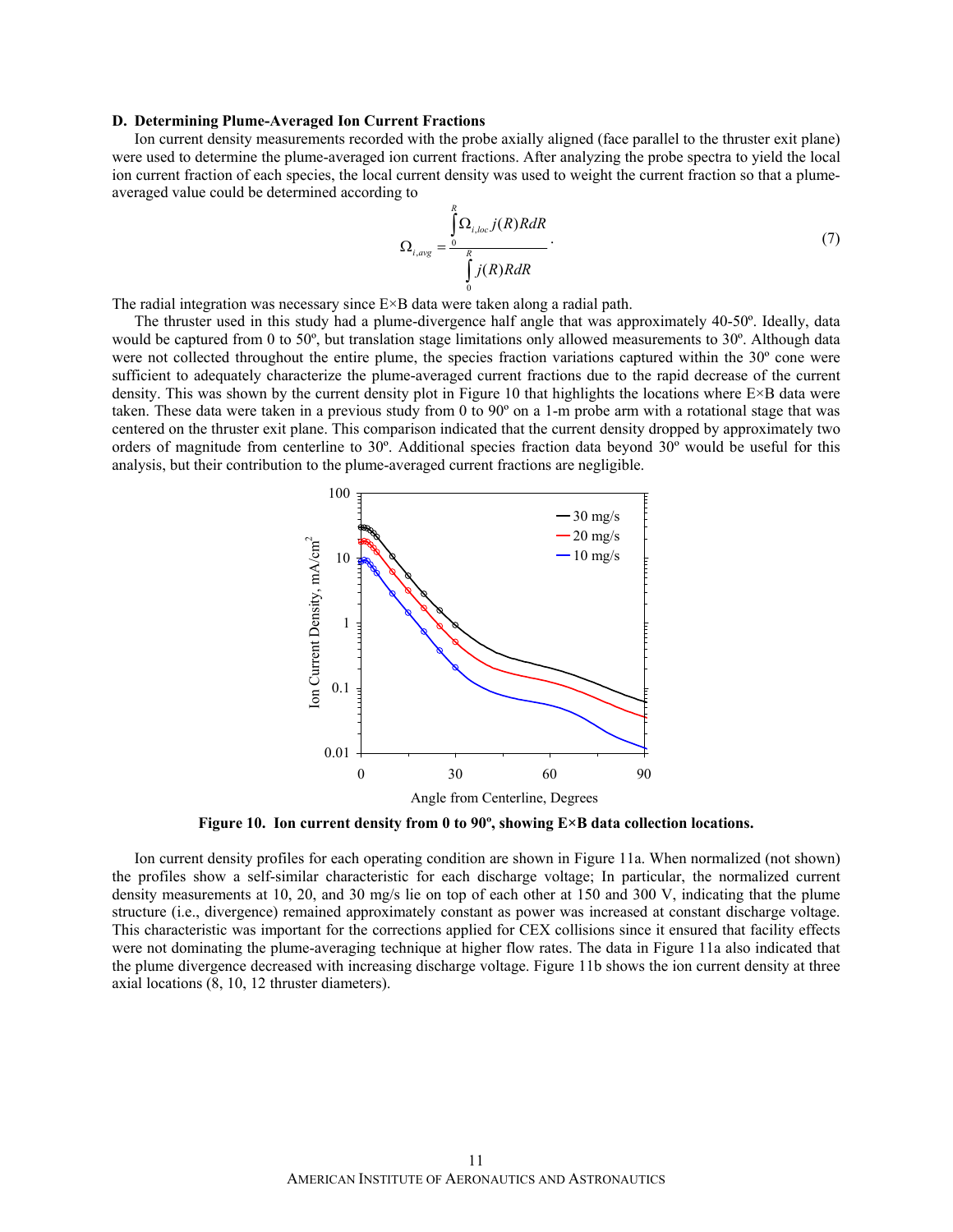## <span id="page-10-0"></span>**D. Determining Plume-Averaged Ion Current Fractions**

Ion current density measurements recorded with the probe axially aligned (face parallel to the thruster exit plane) were used to determine the plume-averaged ion current fractions. After analyzing the probe spectra to yield the local ion current fraction of each species, the local current density was used to weight the current fraction so that a plumeaveraged value could be determined according to

$$
\Omega_{i,avg} = \frac{\int_{0}^{R} \Omega_{i,loc} j(R)R dR}{\int_{0}^{R} j(R)R dR}.
$$
\n(7)

The radial integration was necessary since E×B data were taken along a radial path.

The thruster used in this study had a plume-divergence half angle that was approximately 40-50º. Ideally, data would be captured from 0 to 50°, but translation stage limitations only allowed measurements to 30°. Although data were not collected throughout the entire plume, the species fraction variations captured within the 30º cone were sufficient to adequately characterize the plume-averaged current fractions due to the rapid decrease of the current density. This was shown by the current density plot in [Figure 10](#page-10-1) that highlights the locations where  $E \times B$  data were taken. These data were taken in a previous study from 0 to 90º on a 1-m probe arm with a rotational stage that was centered on the thruster exit plane. This comparison indicated that the current density dropped by approximately two orders of magnitude from centerline to 30º. Additional species fraction data beyond 30º would be useful for this analysis, but their contribution to the plume-averaged current fractions are negligible.



**Figure 10. Ion current density from 0 to 90º, showing E×B data collection locations.** 

<span id="page-10-1"></span>Ion current density profiles for each operating condition are shown in [Figure 11a](#page-11-0). When normalized (not shown) the profiles show a self-similar characteristic for each discharge voltage; In particular, the normalized current density measurements at 10, 20, and 30 mg/s lie on top of each other at 150 and 300 V, indicating that the plume structure (i.e., divergence) remained approximately constant as power was increased at constant discharge voltage. This characteristic was important for the corrections applied for CEX collisions since it ensured that facility effects were not dominating the plume-averaging technique at higher flow rates. The data in [Figure 11a](#page-11-0) also indicated that the plume divergence decreased with increasing discharge voltage. [Figure 11b](#page-11-0) shows the ion current density at three axial locations (8, 10, 12 thruster diameters).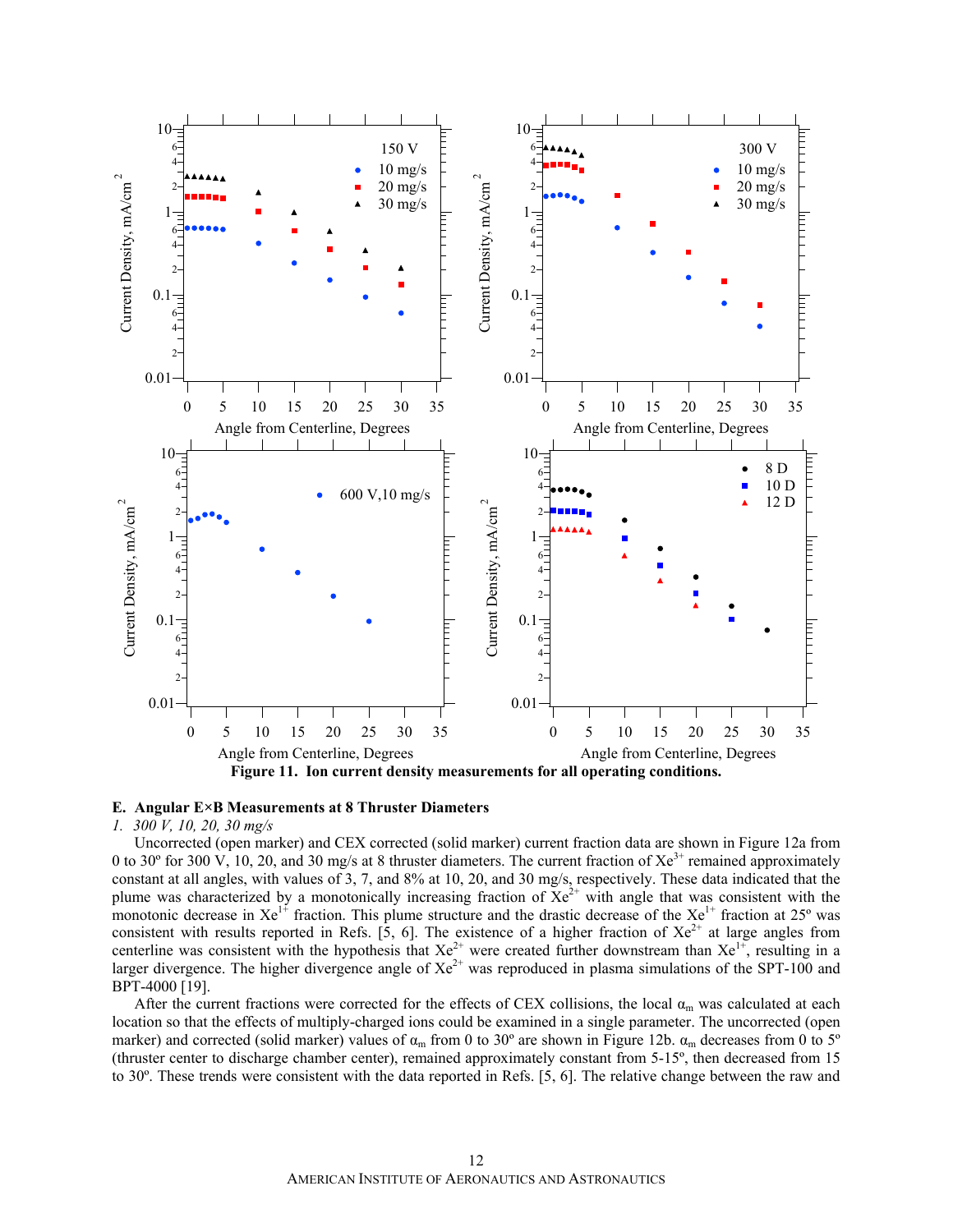

## <span id="page-11-0"></span>**E. Angular E×B Measurements at 8 Thruster Diameters**

#### *1. 300 V, 10, 20, 30 mg/s*

Uncorrected (open marker) and CEX corrected (solid marker) current fraction data are shown in [Figure 12a](#page-12-0) from 0 to 30<sup>o</sup> for 300 V, 10, 20, and 30 mg/s at 8 thruster diameters. The current fraction of  $Xe^{3+}$  remained approximately constant at all angles, with values of 3, 7, and 8% at 10, 20, and 30 mg/s, respectively. These data indicated that the plume was characterized by a monotonically increasing fraction of  $Xe^{2+}$  with angle that was consistent with the monotonic decrease in  $Xe^{1+}$  fraction. This plume structure and the drastic decrease of the  $Xe^{1+}$  fraction at 25° was consistent with results reported in Refs. [5, 6]. The existence of a higher fraction of  $Xe^{2+}$  at large angles from centerline was consistent with the hypothesis that  $Xe^{2+}$  were created further downstream than  $Xe^{1+}$ , resulting in a larger divergence. The higher divergence angle of  $Xe^{2+}$  was reproduced in plasma simulations of the SPT-100 and BPT-4000 [19].

After the current fractions were corrected for the effects of CEX collisions, the local  $\alpha_m$  was calculated at each location so that the effects of multiply-charged ions could be examined in a single parameter. The uncorrected (open marker) and corrected (solid marker) values of  $\alpha_m$  from 0 to 30° are shown in [Figure 12b](#page-12-0).  $\alpha_m$  decreases from 0 to 5° (thruster center to discharge chamber center), remained approximately constant from 5-15º, then decreased from 15 to 30º. These trends were consistent with the data reported in Refs. [5, 6]. The relative change between the raw and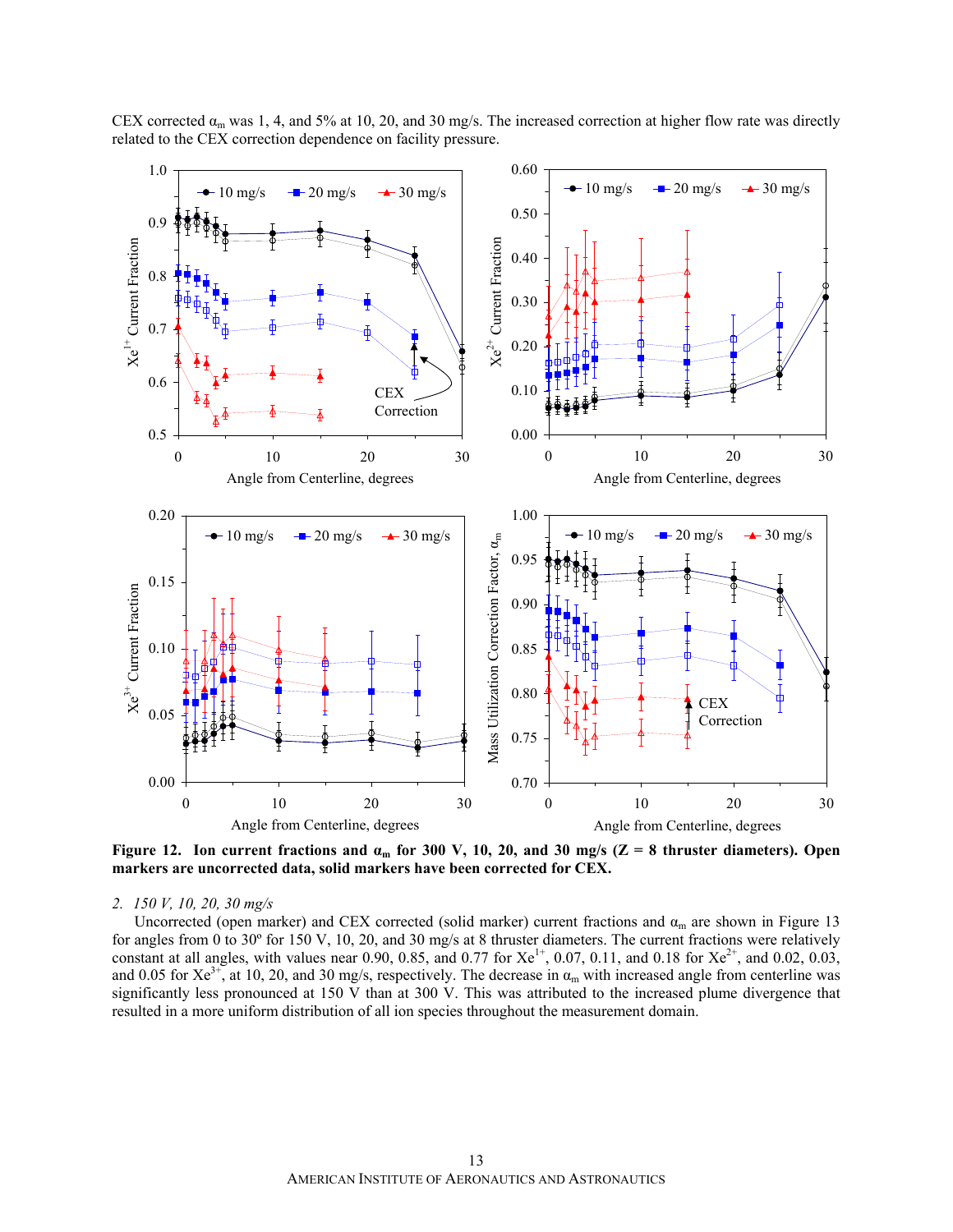CEX corrected  $\alpha_m$  was 1, 4, and 5% at 10, 20, and 30 mg/s. The increased correction at higher flow rate was directly related to the CEX correction dependence on facility pressure.



<span id="page-12-0"></span>**Figure 12.** Ion current fractions and  $\alpha_m$  for 300 V, 10, 20, and 30 mg/s ( $Z = 8$  thruster diameters). Open **markers are uncorrected data, solid markers have been corrected for CEX.** 

## *2. 150 V, 10, 20, 30 mg/s*

Uncorrected (open marker) and CEX corrected (solid marker) current fractions and  $\alpha_m$  are shown in [Figure 13](#page-13-0) for angles from 0 to 30º for 150 V, 10, 20, and 30 mg/s at 8 thruster diameters. The current fractions were relatively constant at all angles, with values near 0.90, 0.85, and 0.77 for  $Xe^{1+}$ , 0.07, 0.11, and 0.18 for  $Xe^{2+}$ , and 0.02, 0.03, and 0.05 for  $Xe^{3+}$ , at 10, 20, and 30 mg/s, respectively. The decrease in  $\alpha_m$  with increased angle from centerline was significantly less pronounced at 150 V than at 300 V. This was attributed to the increased plume divergence that resulted in a more uniform distribution of all ion species throughout the measurement domain.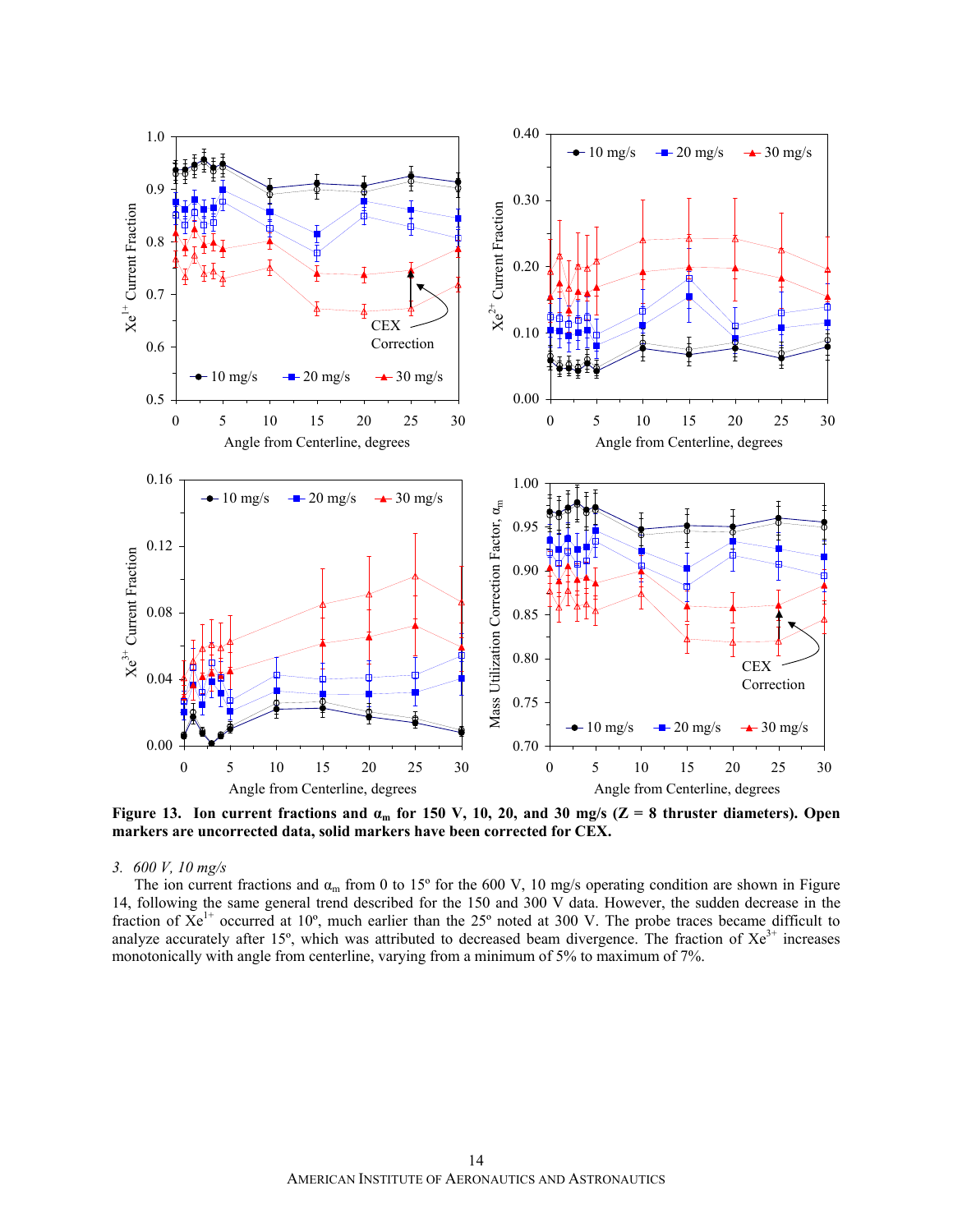

<span id="page-13-0"></span>**Figure 13. Ion current fractions and αm for 150 V, 10, 20, and 30 mg/s (Z = 8 thruster diameters). Open markers are uncorrected data, solid markers have been corrected for CEX.** 

## *3. 600 V, 10 mg/s*

The ion current fractions and  $\alpha_m$  from 0 to 15° for the 600 V, 10 mg/s operating condition are shown in Figure [14](#page-14-0), following the same general trend described for the 150 and 300 V data. However, the sudden decrease in the fraction of  $Xe^{1+}$  occurred at 10°, much earlier than the 25° noted at 300 V. The probe traces became difficult to analyze accurately after 15<sup>°</sup>, which was attributed to decreased beam divergence. The fraction of  $Xe^{3+}$  increases monotonically with angle from centerline, varying from a minimum of 5% to maximum of 7%.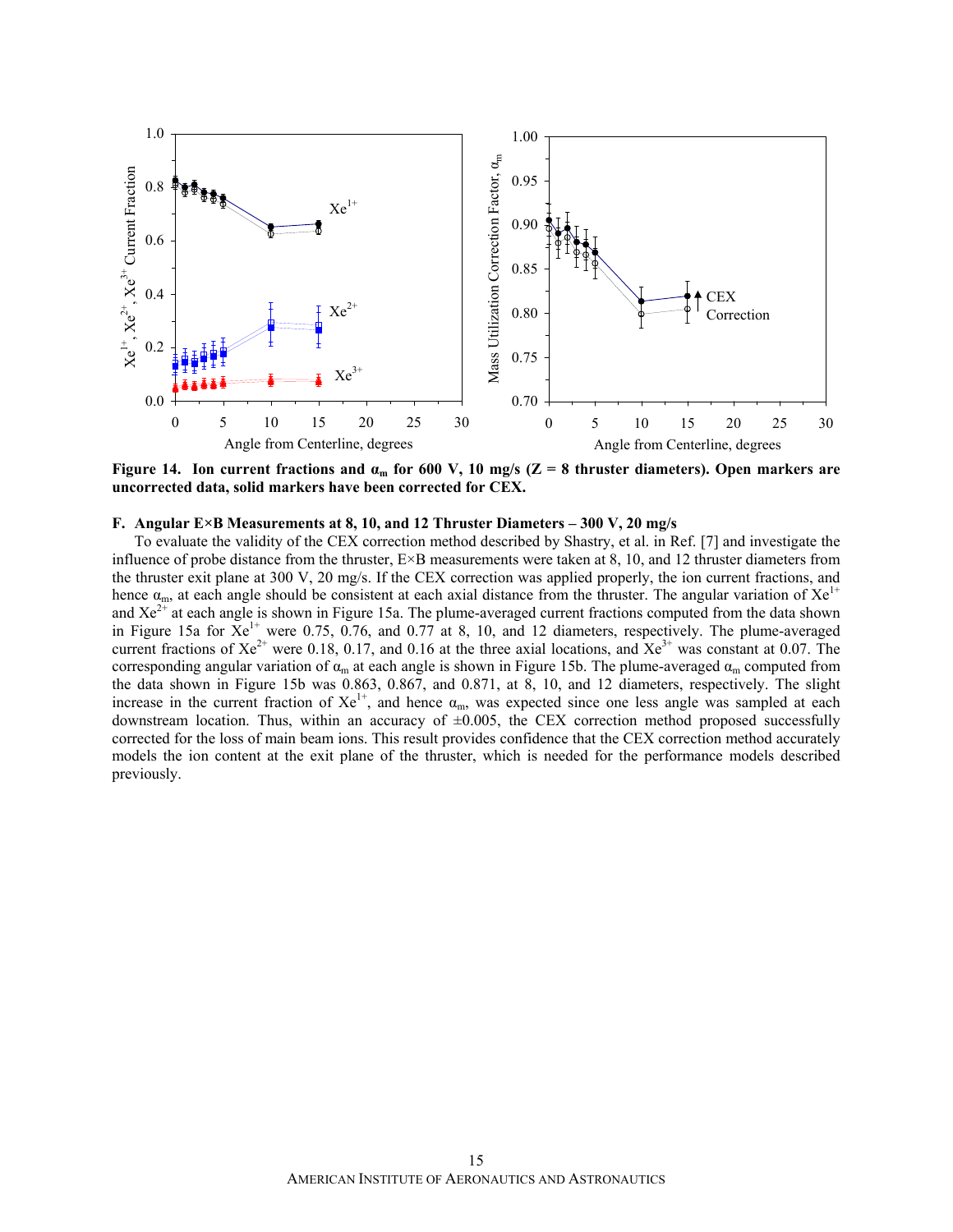

<span id="page-14-0"></span>**Figure 14. Ion current fractions and αm for 600 V, 10 mg/s (Z = 8 thruster diameters). Open markers are uncorrected data, solid markers have been corrected for CEX.** 

## **F. Angular E×B Measurements at 8, 10, and 12 Thruster Diameters – 300 V, 20 mg/s**

To evaluate the validity of the CEX correction method described by Shastry, et al. in Ref. [7] and investigate the influence of probe distance from the thruster, E×B measurements were taken at 8, 10, and 12 thruster diameters from the thruster exit plane at 300 V, 20 mg/s. If the CEX correction was applied properly, the ion current fractions, and hence  $\alpha_m$ , at each angle should be consistent at each axial distance from the thruster. The angular variation of  $Xe^{1}$ <sup>+</sup> and  $Xe^{2+}$  at each angle is shown in [Figure 15](#page-15-0)a. The plume-averaged current fractions computed from the data shown in [Figure 15](#page-15-0)a for  $Xe^{1+}$  were 0.75, 0.76, and 0.77 at 8, 10, and 12 diameters, respectively. The plume-averaged current fractions of  $Xe^{2+}$  were 0.18, 0.17, and 0.16 at the three axial locations, and  $Xe^{3+}$  was constant at 0.07. The corresponding angular variation of  $\alpha_m$  at each angle is shown in [Figure 15b](#page-15-0). The plume-averaged  $\alpha_m$  computed from the data shown in [Figure 15](#page-15-0)b was 0.863, 0.867, and 0.871, at 8, 10, and 12 diameters, respectively. The slight increase in the current fraction of  $Xe^{1+}$ , and hence  $\alpha_m$ , was expected since one less angle was sampled at each downstream location. Thus, within an accuracy of  $\pm 0.005$ , the CEX correction method proposed successfully corrected for the loss of main beam ions. This result provides confidence that the CEX correction method accurately models the ion content at the exit plane of the thruster, which is needed for the performance models described previously.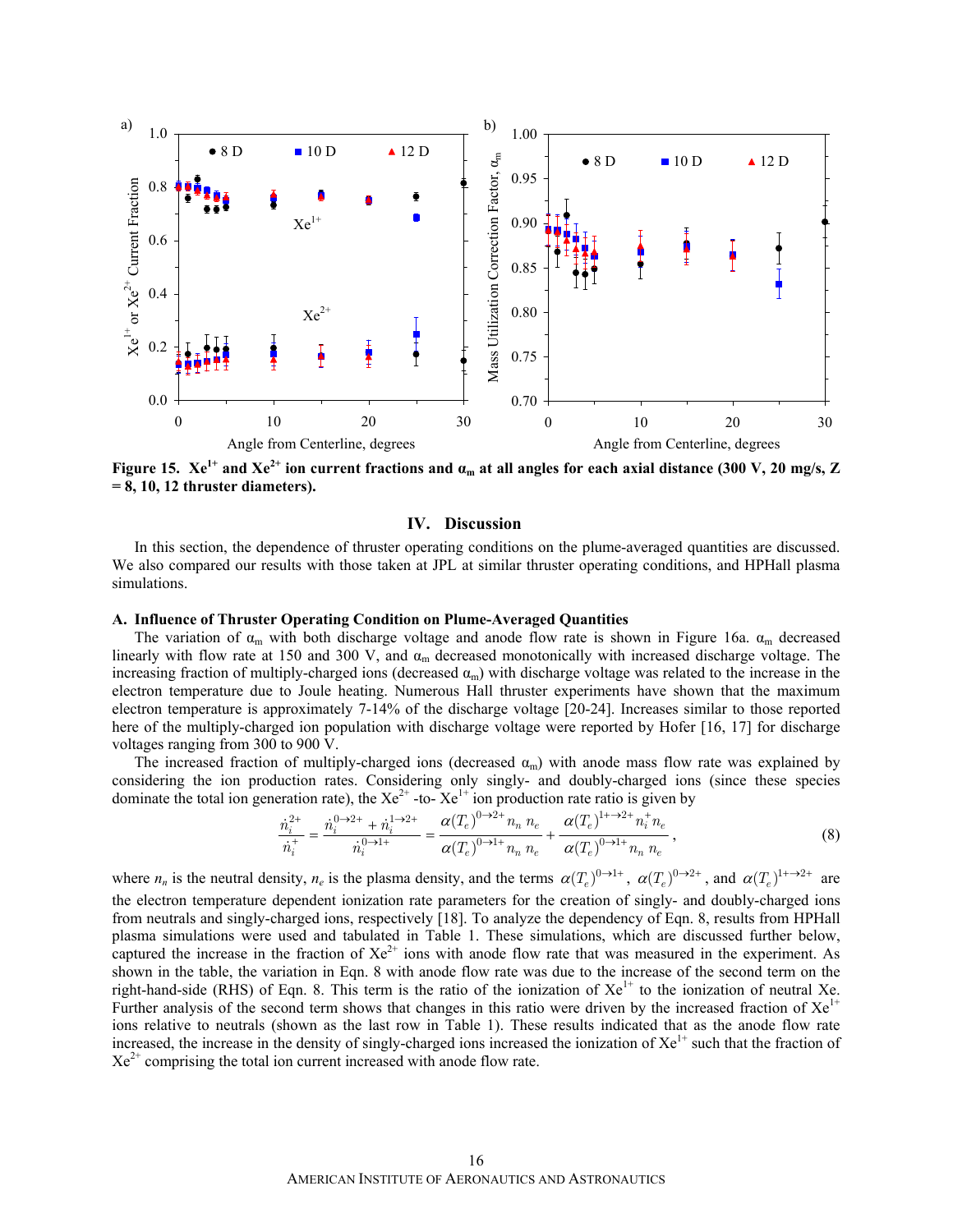

<span id="page-15-0"></span>**Figure 15.**  $Xe^{1+}$  and  $Xe^{2+}$  ion current fractions and  $\alpha_m$  at all angles for each axial distance (300 V, 20 mg/s, Z **= 8, 10, 12 thruster diameters).** 

## **IV. Discussion**

<span id="page-15-1"></span>In this section, the dependence of thruster operating conditions on the plume-averaged quantities are discussed. We also compared our results with those taken at JPL at similar thruster operating conditions, and HPHall plasma simulations.

## <span id="page-15-2"></span>**A. Influence of Thruster Operating Condition on Plume-Averaged Quantities**

The variation of  $\alpha_m$  with both discharge voltage and anode flow rate is shown in [Figure 16a](#page-17-0).  $\alpha_m$  decreased linearly with flow rate at 150 and 300 V, and  $\alpha_m$  decreased monotonically with increased discharge voltage. The increasing fraction of multiply-charged ions (decreased  $\alpha_m$ ) with discharge voltage was related to the increase in the electron temperature due to Joule heating. Numerous Hall thruster experiments have shown that the maximum electron temperature is approximately 7-14% of the discharge voltage [20-24]. Increases similar to those reported here of the multiply-charged ion population with discharge voltage were reported by Hofer [16, 17] for discharge voltages ranging from 300 to 900 V.

The increased fraction of multiply-charged ions (decreased  $\alpha_m$ ) with anode mass flow rate was explained by considering the ion production rates. Considering only singly- and doubly-charged ions (since these species dominate the total ion generation rate), the  $Xe^{2+}$  -to- $Xe^{1+}$  ion production rate ratio is given by

$$
\frac{\dot{n}_i^{2+}}{\dot{n}_i^+} = \frac{\dot{n}_i^{0 \to 2+} + \dot{n}_i^{1 \to 2+}}{\dot{n}_i^{0 \to 1+}} = \frac{\alpha(T_e)^{0 \to 2+} n_n n_e}{\alpha(T_e)^{0 \to 1+} n_n n_e} + \frac{\alpha(T_e)^{1 \to 2+} n_i^+ n_e}{\alpha(T_e)^{0 \to 1+} n_n n_e},
$$
\n(8)

where  $n_n$  is the neutral density,  $n_e$  is the plasma density, and the terms  $\alpha(T_e)^{0 \to 1^+}$ ,  $\alpha(T_e)^{0 \to 2^+}$ , and  $\alpha(T_e)^{1+\to 2^+}$  are the electron temperature dependent ionization rate parameters for the creation of singly- and doubly-charged ions from neutrals and singly-charged ions, respectively [18]. To analyze the dependency of Eqn. 8, results from HPHall plasma simulations were used and tabulated in Table 1. These simulations, which are discussed further below, captured the increase in the fraction of  $Xe^{2+}$  ions with anode flow rate that was measured in the experiment. As shown in the table, the variation in Eqn. 8 with anode flow rate was due to the increase of the second term on the right-hand-side (RHS) of Eqn. 8. This term is the ratio of the ionization of  $Xe^{1+}$  to the ionization of neutral Xe. Further analysis of the second term shows that changes in this ratio were driven by the increased fraction of  $Xe^{1+}$ ions relative to neutrals (shown as the last row in Table 1). These results indicated that as the anode flow rate increased, the increase in the density of singly-charged ions increased the ionization of  $Xe^{1+}$  such that the fraction of  $Xe^{2+}$  comprising the total ion current increased with anode flow rate.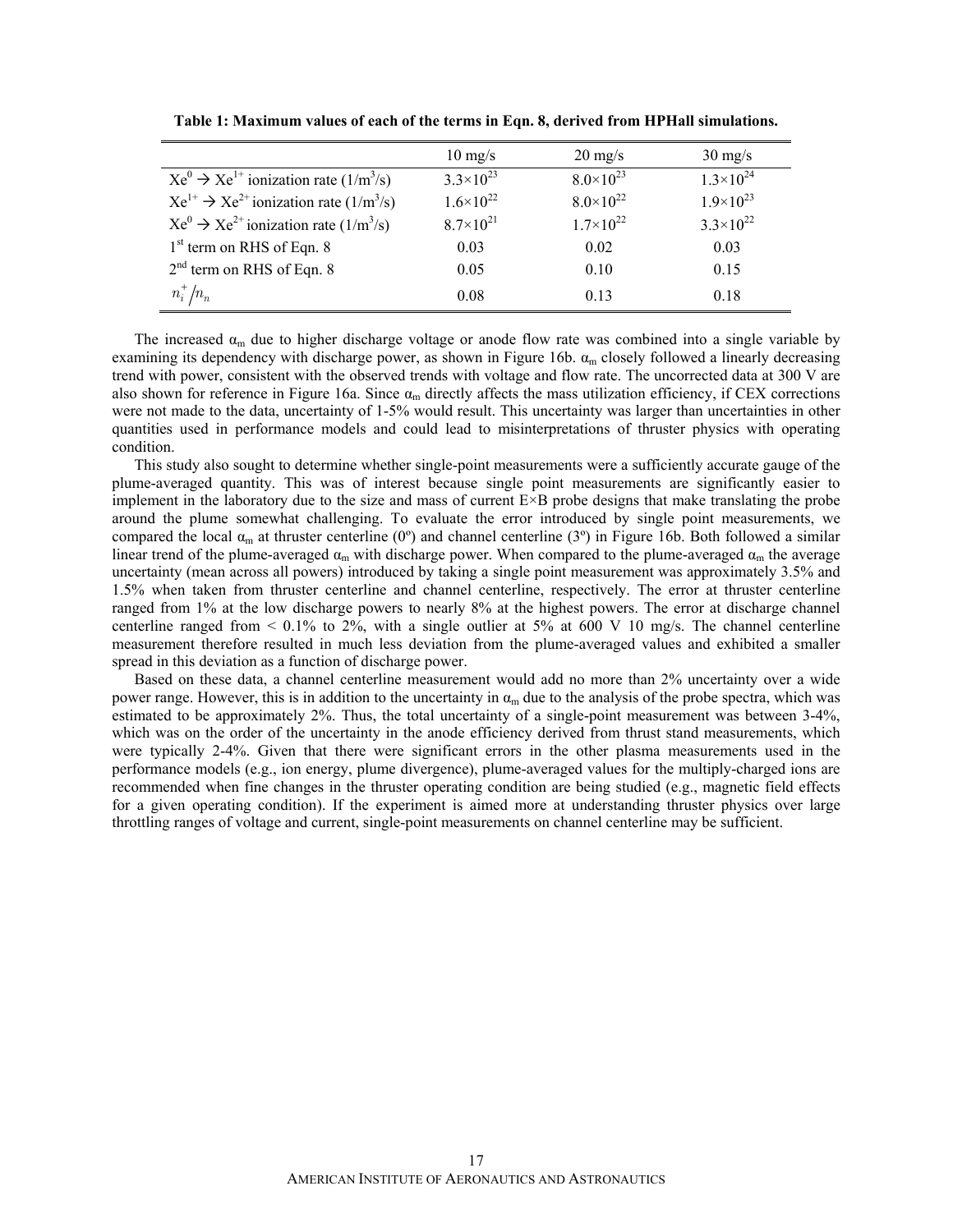|                                                                     | $10 \frac{\text{mg}}{\text{s}}$ | $20 \frac{\text{mg}}{\text{s}}$ | $30 \frac{\text{mg}}{\text{s}}$ |
|---------------------------------------------------------------------|---------------------------------|---------------------------------|---------------------------------|
| $Xe^{0} \rightarrow Xe^{1+}$ ionization rate $(1/m^{3}/s)$          | $3.3\times10^{23}$              | $8.0\times10^{23}$              | $1.3 \times 10^{24}$            |
| $Xe^{1+} \rightarrow Xe^{2+}$ ionization rate (1/m <sup>3</sup> /s) | $1.6 \times 10^{22}$            | $8.0\times10^{22}$              | $1.9\times10^{23}$              |
| $Xe^{0} \rightarrow Xe^{2+}$ ionization rate $(1/m^{3}/s)$          | $8.7\times10^{21}$              | $1.7\times10^{22}$              | $3.3\times10^{22}$              |
| $1st$ term on RHS of Eqn. 8                                         | 0.03                            | 0.02                            | 0.03                            |
| $2nd$ term on RHS of Eqn. 8                                         | 0.05                            | 0.10                            | 0.15                            |
| $n_i^{\dagger}/n_n$                                                 | 0.08                            | 0.13                            | 0.18                            |

**Table 1: Maximum values of each of the terms in Eqn. 8, derived from HPHall simulations.** 

The increased  $\alpha_m$  due to higher discharge voltage or anode flow rate was combined into a single variable by examining its dependency with discharge power, as shown in [Figure 16b](#page-17-0).  $\alpha_m$  closely followed a linearly decreasing trend with power, consistent with the observed trends with voltage and flow rate. The uncorrected data at 300 V are also shown for reference in [Figure 16a](#page-17-0). Since  $\alpha_m$  directly affects the mass utilization efficiency, if CEX corrections were not made to the data, uncertainty of 1-5% would result. This uncertainty was larger than uncertainties in other quantities used in performance models and could lead to misinterpretations of thruster physics with operating condition.

This study also sought to determine whether single-point measurements were a sufficiently accurate gauge of the plume-averaged quantity. This was of interest because single point measurements are significantly easier to implement in the laboratory due to the size and mass of current  $E \times B$  probe designs that make translating the probe around the plume somewhat challenging. To evaluate the error introduced by single point measurements, we compared the local  $\alpha_m$  at thruster centerline (0°) and channel centerline (3°) in [Figure 16b](#page-17-0). Both followed a similar linear trend of the plume-averaged  $\alpha_m$  with discharge power. When compared to the plume-averaged  $\alpha_m$  the average uncertainty (mean across all powers) introduced by taking a single point measurement was approximately 3.5% and 1.5% when taken from thruster centerline and channel centerline, respectively. The error at thruster centerline ranged from 1% at the low discharge powers to nearly 8% at the highest powers. The error at discharge channel centerline ranged from  $\lt 0.1\%$  to 2%, with a single outlier at 5% at 600 V 10 mg/s. The channel centerline measurement therefore resulted in much less deviation from the plume-averaged values and exhibited a smaller spread in this deviation as a function of discharge power.

Based on these data, a channel centerline measurement would add no more than 2% uncertainty over a wide power range. However, this is in addition to the uncertainty in  $\alpha_m$  due to the analysis of the probe spectra, which was estimated to be approximately 2%. Thus, the total uncertainty of a single-point measurement was between 3-4%, which was on the order of the uncertainty in the anode efficiency derived from thrust stand measurements, which were typically 2-4%. Given that there were significant errors in the other plasma measurements used in the performance models (e.g., ion energy, plume divergence), plume-averaged values for the multiply-charged ions are recommended when fine changes in the thruster operating condition are being studied (e.g., magnetic field effects for a given operating condition). If the experiment is aimed more at understanding thruster physics over large throttling ranges of voltage and current, single-point measurements on channel centerline may be sufficient.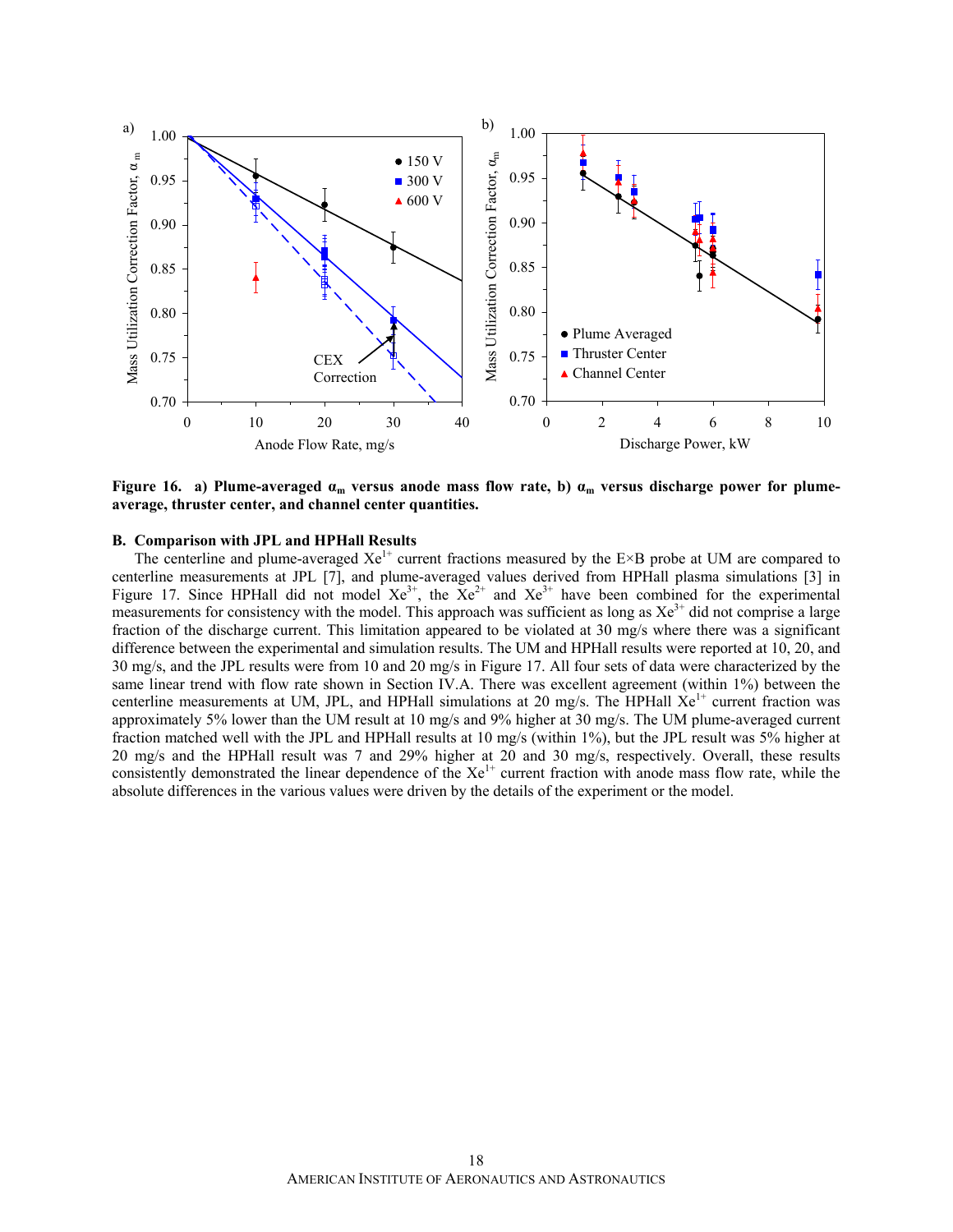

<span id="page-17-0"></span>**Figure 16.** a) Plume-averaged  $\alpha_m$  versus anode mass flow rate, b)  $\alpha_m$  versus discharge power for plume**average, thruster center, and channel center quantities.** 

#### **B. Comparison with JPL and HPHall Results**

The centerline and plume-averaged  $Xe^{1+}$  current fractions measured by the E×B probe at UM are compared to centerline measurements at JPL [7], and plume-averaged values derived from HPHall plasma simulations [3] in [Figure 17](#page-18-0). Since HPHall did not model  $Xe^{3+}$ , the  $Xe^{2+}$  and  $Xe^{3+}$  have been combined for the experimental measurements for consistency with the model. This approach was sufficient as long as  $Xe^{3+}$  did not comprise a large fraction of the discharge current. This limitation appeared to be violated at 30 mg/s where there was a significant difference between the experimental and simulation results. The UM and HPHall results were reported at 10, 20, and 30 mg/s, and the JPL results were from 10 and 20 mg/s in [Figure 17](#page-18-0). All four sets of data were characterized by the same linear trend with flow rate shown in Section [IV.](#page-15-1)[A](#page-15-2). There was excellent agreement (within 1%) between the centerline measurements at UM, JPL, and HPHall simulations at 20 mg/s. The HPHall  $Xe^{1+}$  current fraction was approximately 5% lower than the UM result at 10 mg/s and 9% higher at 30 mg/s. The UM plume-averaged current fraction matched well with the JPL and HPHall results at 10 mg/s (within 1%), but the JPL result was 5% higher at 20 mg/s and the HPHall result was 7 and 29% higher at 20 and 30 mg/s, respectively. Overall, these results consistently demonstrated the linear dependence of the  $Xe^{1+}$  current fraction with anode mass flow rate, while the absolute differences in the various values were driven by the details of the experiment or the model.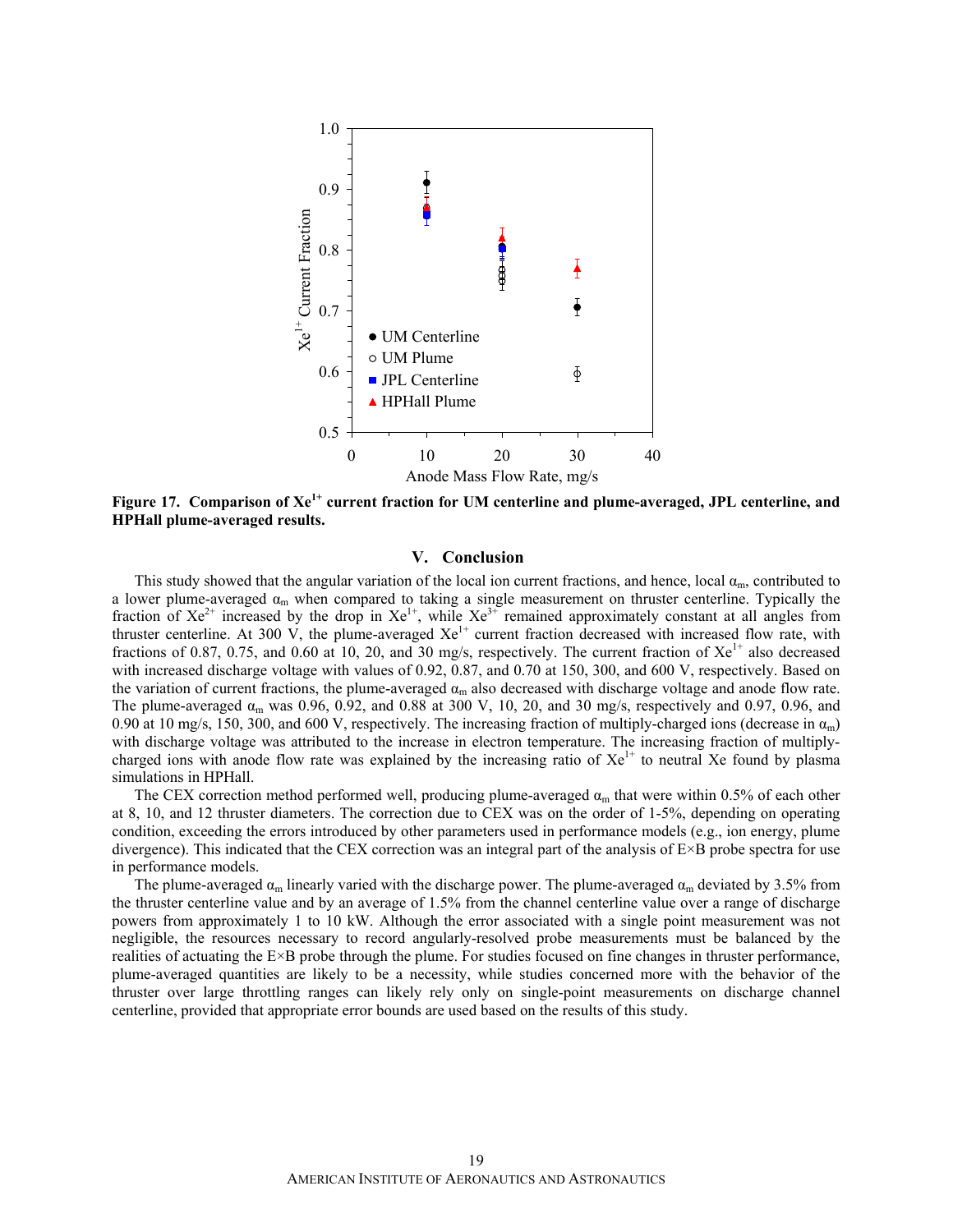

<span id="page-18-0"></span>Figure 17. Comparison of Xe<sup>1+</sup> current fraction for UM centerline and plume-averaged, JPL centerline, and **HPHall plume-averaged results.** 

#### **V. Conclusion**

This study showed that the angular variation of the local ion current fractions, and hence, local  $\alpha_m$ , contributed to a lower plume-averaged  $\alpha_m$  when compared to taking a single measurement on thruster centerline. Typically the fraction of  $Xe^{2+}$  increased by the drop in  $Xe^{1+}$ , while  $Xe^{3+}$  remained approximately constant at all angles from thruster centerline. At 300 V, the plume-averaged  $Xe^{1+}$  current fraction decreased with increased flow rate, with fractions of 0.87, 0.75, and 0.60 at 10, 20, and 30 mg/s, respectively. The current fraction of  $Xe^{1+}$  also decreased with increased discharge voltage with values of 0.92, 0.87, and 0.70 at 150, 300, and 600 V, respectively. Based on the variation of current fractions, the plume-averaged  $\alpha_m$  also decreased with discharge voltage and anode flow rate. The plume-averaged  $\alpha_m$  was 0.96, 0.92, and 0.88 at 300 V, 10, 20, and 30 mg/s, respectively and 0.97, 0.96, and 0.90 at 10 mg/s, 150, 300, and 600 V, respectively. The increasing fraction of multiply-charged ions (decrease in  $\alpha_{\rm m}$ ) with discharge voltage was attributed to the increase in electron temperature. The increasing fraction of multiplycharged ions with anode flow rate was explained by the increasing ratio of  $Xe^{1+}$  to neutral Xe found by plasma simulations in HPHall.

The CEX correction method performed well, producing plume-averaged  $\alpha_m$  that were within 0.5% of each other at 8, 10, and 12 thruster diameters. The correction due to CEX was on the order of 1-5%, depending on operating condition, exceeding the errors introduced by other parameters used in performance models (e.g., ion energy, plume divergence). This indicated that the CEX correction was an integral part of the analysis of  $E \times B$  probe spectra for use in performance models.

The plume-averaged  $\alpha_m$  linearly varied with the discharge power. The plume-averaged  $\alpha_m$  deviated by 3.5% from the thruster centerline value and by an average of 1.5% from the channel centerline value over a range of discharge powers from approximately 1 to 10 kW. Although the error associated with a single point measurement was not negligible, the resources necessary to record angularly-resolved probe measurements must be balanced by the realities of actuating the E×B probe through the plume. For studies focused on fine changes in thruster performance, plume-averaged quantities are likely to be a necessity, while studies concerned more with the behavior of the thruster over large throttling ranges can likely rely only on single-point measurements on discharge channel centerline, provided that appropriate error bounds are used based on the results of this study.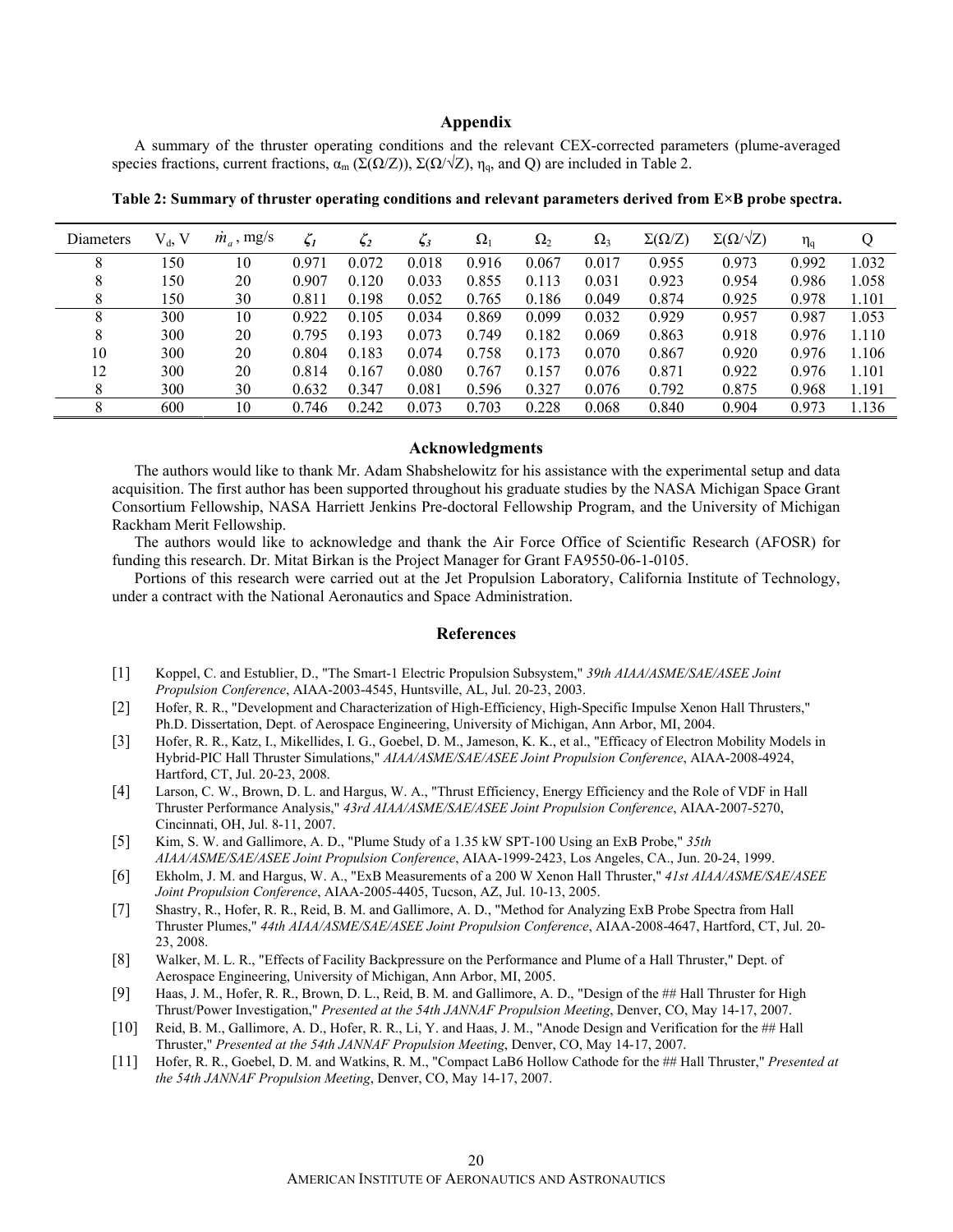## **Appendix**

A summary of the thruster operating conditions and the relevant CEX-corrected parameters (plume-averaged species fractions, current fractions,  $\alpha_m$  ( $\Sigma(\Omega/\sqrt{Z})$ ),  $\Sigma(\Omega/\sqrt{Z})$ ,  $\eta_a$ , and Q) are included in [Table 2](#page-19-0).

<span id="page-19-0"></span>

| Diameters | $\rm V_d, V$ | $\dot{m}_a$ , mg/s | $\zeta_1$ | $\zeta_2$ | $\zeta_3$ | $\Omega_1$ | $\Omega_2$ | $\Omega_{3}$ | $\Sigma(\Omega/Z)$ | $\Sigma(\Omega/\sqrt{Z})$ | $\eta_{\mathfrak{q}}$ | Q     |
|-----------|--------------|--------------------|-----------|-----------|-----------|------------|------------|--------------|--------------------|---------------------------|-----------------------|-------|
| 8         | 150          | 10                 | 0.971     | 0.072     | 0.018     | 0.916      | 0.067      | 0.017        | 0.955              | 0.973                     | 0.992                 | 1.032 |
| 8         | 150          | 20                 | 0.907     | 0.120     | 0.033     | 0.855      | 0.113      | 0.031        | 0.923              | 0.954                     | 0.986                 | 1.058 |
| 8         | 150          | 30                 | 0.811     | 0.198     | 0.052     | 0.765      | 0.186      | 0.049        | 0.874              | 0.925                     | 0.978                 | 1.101 |
| 8         | 300          | 10                 | 0.922     | 0.105     | 0.034     | 0.869      | 0.099      | 0.032        | 0.929              | 0.957                     | 0.987                 | 1.053 |
| 8         | 300          | 20                 | 0.795     | 0.193     | 0.073     | 0.749      | 0.182      | 0.069        | 0.863              | 0.918                     | 0.976                 | 1.110 |
| 10        | 300          | 20                 | 0.804     | 0.183     | 0.074     | 0.758      | 0.173      | 0.070        | 0.867              | 0.920                     | 0.976                 | 1.106 |
| 12        | 300          | 20                 | 0.814     | 0.167     | 0.080     | 0.767      | 0.157      | 0.076        | 0.871              | 0.922                     | 0.976                 | 1.101 |
| 8         | 300          | 30                 | 0.632     | 0.347     | 0.081     | 0.596      | 0.327      | 0.076        | 0.792              | 0.875                     | 0.968                 | 1.191 |
|           | 600          | 10                 | 0.746     | 0.242     | 0.073     | 0.703      | 0.228      | 0.068        | 0.840              | 0.904                     | 0.973                 | 1.136 |

**Table 2: Summary of thruster operating conditions and relevant parameters derived from E×B probe spectra.** 

# **Acknowledgments**

The authors would like to thank Mr. Adam Shabshelowitz for his assistance with the experimental setup and data acquisition. The first author has been supported throughout his graduate studies by the NASA Michigan Space Grant Consortium Fellowship, NASA Harriett Jenkins Pre-doctoral Fellowship Program, and the University of Michigan Rackham Merit Fellowship.

The authors would like to acknowledge and thank the Air Force Office of Scientific Research (AFOSR) for funding this research. Dr. Mitat Birkan is the Project Manager for Grant FA9550-06-1-0105.

Portions of this research were carried out at the Jet Propulsion Laboratory, California Institute of Technology, under a contract with the National Aeronautics and Space Administration.

## **References**

- [1] Koppel, C. and Estublier, D., "The Smart-1 Electric Propulsion Subsystem," *39th AIAA/ASME/SAE/ASEE Joint Propulsion Conference*, AIAA-2003-4545, Huntsville, AL, Jul. 20-23, 2003.
- [2] Hofer, R. R., "Development and Characterization of High-Efficiency, High-Specific Impulse Xenon Hall Thrusters," Ph.D. Dissertation, Dept. of Aerospace Engineering, University of Michigan, Ann Arbor, MI, 2004.
- [3] Hofer, R. R., Katz, I., Mikellides, I. G., Goebel, D. M., Jameson, K. K., et al., "Efficacy of Electron Mobility Models in Hybrid-PIC Hall Thruster Simulations," *AIAA/ASME/SAE/ASEE Joint Propulsion Conference*, AIAA-2008-4924, Hartford, CT, Jul. 20-23, 2008.
- [4] Larson, C. W., Brown, D. L. and Hargus, W. A., "Thrust Efficiency, Energy Efficiency and the Role of VDF in Hall Thruster Performance Analysis," *43rd AIAA/ASME/SAE/ASEE Joint Propulsion Conference*, AIAA-2007-5270, Cincinnati, OH, Jul. 8-11, 2007.
- [5] Kim, S. W. and Gallimore, A. D., "Plume Study of a 1.35 kW SPT-100 Using an ExB Probe," *35th AIAA/ASME/SAE/ASEE Joint Propulsion Conference*, AIAA-1999-2423, Los Angeles, CA., Jun. 20-24, 1999.
- [6] Ekholm, J. M. and Hargus, W. A., "ExB Measurements of a 200 W Xenon Hall Thruster," *41st AIAA/ASME/SAE/ASEE Joint Propulsion Conference*, AIAA-2005-4405, Tucson, AZ, Jul. 10-13, 2005.
- [7] Shastry, R., Hofer, R. R., Reid, B. M. and Gallimore, A. D., "Method for Analyzing ExB Probe Spectra from Hall Thruster Plumes," *44th AIAA/ASME/SAE/ASEE Joint Propulsion Conference*, AIAA-2008-4647, Hartford, CT, Jul. 20- 23, 2008.
- [8] Walker, M. L. R., "Effects of Facility Backpressure on the Performance and Plume of a Hall Thruster," Dept. of Aerospace Engineering, University of Michigan, Ann Arbor, MI, 2005.
- [9] Haas, J. M., Hofer, R. R., Brown, D. L., Reid, B. M. and Gallimore, A. D., "Design of the ## Hall Thruster for High Thrust/Power Investigation," *Presented at the 54th JANNAF Propulsion Meeting*, Denver, CO, May 14-17, 2007.
- [10] Reid, B. M., Gallimore, A. D., Hofer, R. R., Li, Y. and Haas, J. M., "Anode Design and Verification for the ## Hall Thruster," *Presented at the 54th JANNAF Propulsion Meeting*, Denver, CO, May 14-17, 2007.
- [11] Hofer, R. R., Goebel, D. M. and Watkins, R. M., "Compact LaB6 Hollow Cathode for the ## Hall Thruster," *Presented at the 54th JANNAF Propulsion Meeting*, Denver, CO, May 14-17, 2007.